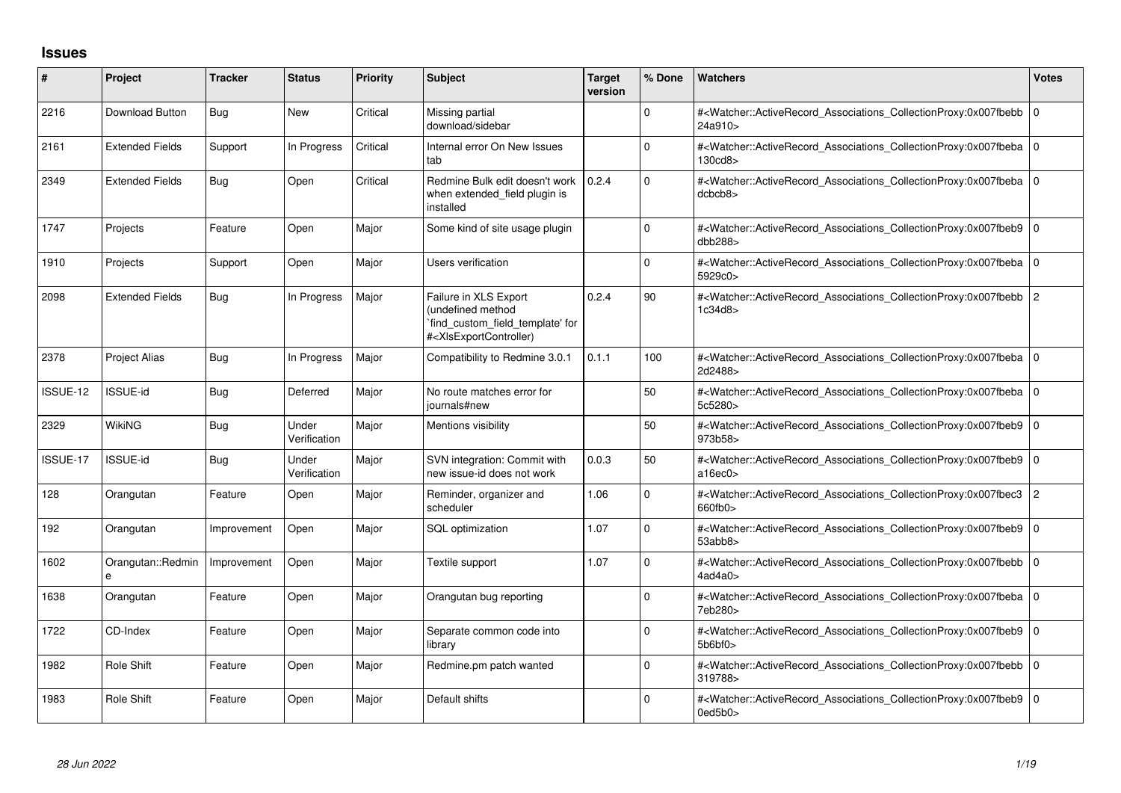## **Issues**

| #        | Project                | <b>Tracker</b> | <b>Status</b>         | <b>Priority</b> | <b>Subject</b>                                                                                                                                                                                                                                                                                                                        | <b>Target</b><br>version | % Done   | Watchers                                                                                                                                            | <b>Votes</b>   |
|----------|------------------------|----------------|-----------------------|-----------------|---------------------------------------------------------------------------------------------------------------------------------------------------------------------------------------------------------------------------------------------------------------------------------------------------------------------------------------|--------------------------|----------|-----------------------------------------------------------------------------------------------------------------------------------------------------|----------------|
| 2216     | Download Button        | Bug            | <b>New</b>            | Critical        | Missing partial<br>download/sidebar                                                                                                                                                                                                                                                                                                   |                          | 0        | # <watcher::activerecord_associations_collectionproxy:0x007fbebb<br>24a910&gt;</watcher::activerecord_associations_collectionproxy:0x007fbebb<br>   | $\overline{0}$ |
| 2161     | <b>Extended Fields</b> | Support        | In Progress           | Critical        | Internal error On New Issues<br>tab                                                                                                                                                                                                                                                                                                   |                          | $\Omega$ | # <watcher::activerecord_associations_collectionproxy:0x007fbeba<br>130cd8&gt;</watcher::activerecord_associations_collectionproxy:0x007fbeba<br>   | l O            |
| 2349     | <b>Extended Fields</b> | Bug            | Open                  | Critical        | Redmine Bulk edit doesn't work 10.2.4<br>when extended field plugin is<br>installed                                                                                                                                                                                                                                                   |                          | $\Omega$ | # <watcher::activerecord_associations_collectionproxy:0x007fbeba<br>dcbcb8&gt;</watcher::activerecord_associations_collectionproxy:0x007fbeba<br>   | $\overline{0}$ |
| 1747     | Projects               | Feature        | Open                  | Major           | Some kind of site usage plugin                                                                                                                                                                                                                                                                                                        |                          | $\Omega$ | # <watcher::activerecord associations="" collectionproxy:0x007fbeb9<br="">dbb288&gt;</watcher::activerecord>                                        | 10             |
| 1910     | Projects               | Support        | Open                  | Major           | <b>Users verification</b>                                                                                                                                                                                                                                                                                                             |                          | $\Omega$ | # <watcher::activerecord associations="" collectionproxy:0x007fbeba<br="">5929c0&gt;</watcher::activerecord>                                        | $\overline{0}$ |
| 2098     | <b>Extended Fields</b> | Bug            | In Progress           | Major           | Failure in XLS Export<br>(undefined method<br>`find_custom_field_template' for<br># <xlsexportcontroller)< td=""><td>0.2.4</td><td>90</td><td>#<watcher::activerecord_associations_collectionproxy:0x007fbebb<br>1c34d8&gt;</watcher::activerecord_associations_collectionproxy:0x007fbebb<br></td><td>2</td></xlsexportcontroller)<> | 0.2.4                    | 90       | # <watcher::activerecord_associations_collectionproxy:0x007fbebb<br>1c34d8&gt;</watcher::activerecord_associations_collectionproxy:0x007fbebb<br>   | 2              |
| 2378     | <b>Project Alias</b>   | Bug            | In Progress           | Major           | Compatibility to Redmine 3.0.1                                                                                                                                                                                                                                                                                                        | 0.1.1                    | 100      | # <watcher::activerecord_associations_collectionproxy:0x007fbeba 0<br="">2d2488&gt;</watcher::activerecord_associations_collectionproxy:0x007fbeba> |                |
| ISSUE-12 | ISSUE-id               | Bug            | Deferred              | Major           | No route matches error for<br>iournals#new                                                                                                                                                                                                                                                                                            |                          | 50       | # <watcher::activerecord_associations_collectionproxy:0x007fbeba<br>5c5280&gt;</watcher::activerecord_associations_collectionproxy:0x007fbeba<br>   | l o            |
| 2329     | <b>WikiNG</b>          | Bug            | Under<br>Verification | Major           | Mentions visibility                                                                                                                                                                                                                                                                                                                   |                          | 50       | # <watcher::activerecord_associations_collectionproxy:0x007fbeb9<br>973b58&gt;</watcher::activerecord_associations_collectionproxy:0x007fbeb9<br>   | l O            |
| ISSUE-17 | <b>ISSUE-id</b>        | Bug            | Under<br>Verification | Major           | SVN integration: Commit with<br>new issue-id does not work                                                                                                                                                                                                                                                                            | 0.0.3                    | 50       | # <watcher::activerecord_associations_collectionproxy:0x007fbeb9<br>a16ec0</watcher::activerecord_associations_collectionproxy:0x007fbeb9<br>       | l O            |
| 128      | Orangutan              | Feature        | Open                  | Major           | Reminder, organizer and<br>scheduler                                                                                                                                                                                                                                                                                                  | 1.06                     | $\Omega$ | # <watcher::activerecord associations="" collectionproxy:0x007fbec3<br="">660fb0&gt;</watcher::activerecord>                                        | $\overline{2}$ |
| 192      | Orangutan              | Improvement    | Open                  | Major           | SQL optimization                                                                                                                                                                                                                                                                                                                      | 1.07                     | $\Omega$ | # <watcher::activerecord_associations_collectionproxy:0x007fbeb9<br>53abb8</watcher::activerecord_associations_collectionproxy:0x007fbeb9<br>       | l O            |
| 1602     | Orangutan::Redmin<br>e | Improvement    | Open                  | Major           | Textile support                                                                                                                                                                                                                                                                                                                       | 1.07                     | 0        | # <watcher::activerecord 0<br="" associations="" collectionproxy:0x007fbebb=""  ="">4ad4a0&gt;</watcher::activerecord>                              |                |
| 1638     | Orangutan              | Feature        | Open                  | Major           | Orangutan bug reporting                                                                                                                                                                                                                                                                                                               |                          | $\Omega$ | # <watcher::activerecord_associations_collectionproxy:0x007fbeba 0<br="">7eb280&gt;</watcher::activerecord_associations_collectionproxy:0x007fbeba> |                |
| 1722     | CD-Index               | Feature        | Open                  | Major           | Separate common code into<br>library                                                                                                                                                                                                                                                                                                  |                          | 0        | # <watcher::activerecord associations="" collectionproxy:0x007fbeb9<br="">5b6bf0&gt;</watcher::activerecord>                                        | I٥             |
| 1982     | <b>Role Shift</b>      | Feature        | Open                  | Major           | Redmine.pm patch wanted                                                                                                                                                                                                                                                                                                               |                          | $\Omega$ | # <watcher::activerecord_associations_collectionproxy:0x007fbebb<br>319788&gt;</watcher::activerecord_associations_collectionproxy:0x007fbebb<br>   | $\overline{0}$ |
| 1983     | Role Shift             | Feature        | Open                  | Major           | Default shifts                                                                                                                                                                                                                                                                                                                        |                          | $\Omega$ | # <watcher::activerecord_associations_collectionproxy:0x007fbeb9<br>0ed5b0&gt;</watcher::activerecord_associations_collectionproxy:0x007fbeb9<br>   | $\overline{0}$ |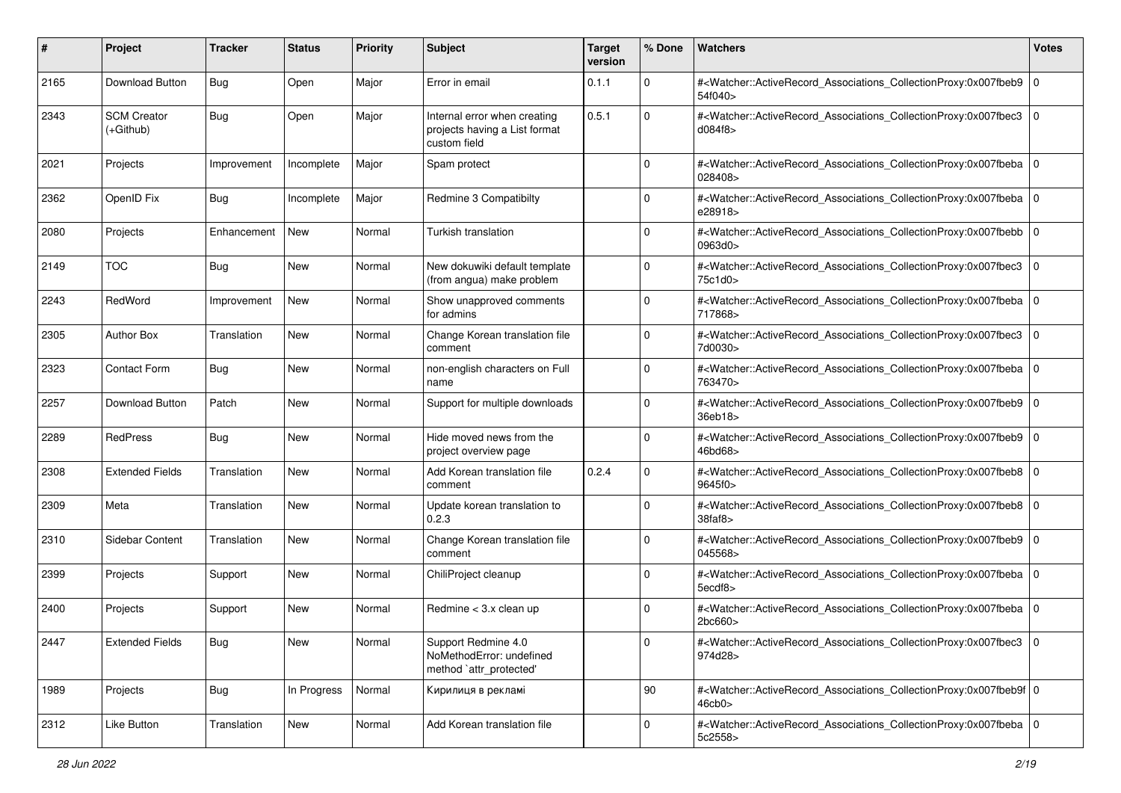| #    | Project                         | <b>Tracker</b> | <b>Status</b> | <b>Priority</b> | <b>Subject</b>                                                                | <b>Target</b><br>version | % Done         | Watchers                                                                                                                                                 | <b>Votes</b>   |
|------|---------------------------------|----------------|---------------|-----------------|-------------------------------------------------------------------------------|--------------------------|----------------|----------------------------------------------------------------------------------------------------------------------------------------------------------|----------------|
| 2165 | Download Button                 | Bug            | Open          | Major           | Error in email                                                                | 0.1.1                    | $\mathbf 0$    | # <watcher::activerecord 0<br="" associations="" collectionproxy:0x007fbeb9="">54f040&gt;</watcher::activerecord>                                        |                |
| 2343 | <b>SCM Creator</b><br>(+Github) | Bug            | Open          | Major           | Internal error when creating<br>projects having a List format<br>custom field | 0.5.1                    | $\Omega$       | # <watcher::activerecord_associations_collectionproxy:0x007fbec3<br>d084f8&gt;</watcher::activerecord_associations_collectionproxy:0x007fbec3<br>        | $\overline{0}$ |
| 2021 | Projects                        | Improvement    | Incomplete    | Major           | Spam protect                                                                  |                          | $\Omega$       | # <watcher::activerecord_associations_collectionproxy:0x007fbeba 0<br=""  ="">028408&gt;</watcher::activerecord_associations_collectionproxy:0x007fbeba> |                |
| 2362 | OpenID Fix                      | Bug            | Incomplete    | Major           | Redmine 3 Compatibilty                                                        |                          | 0              | # <watcher::activerecord_associations_collectionproxy:0x007fbeba 0<br=""  ="">e28918&gt;</watcher::activerecord_associations_collectionproxy:0x007fbeba> |                |
| 2080 | Projects                        | Enhancement    | New           | Normal          | Turkish translation                                                           |                          | 0              | # <watcher::activerecord_associations_collectionproxy:0x007fbebb 0<br=""  ="">0963d0&gt;</watcher::activerecord_associations_collectionproxy:0x007fbebb> |                |
| 2149 | <b>TOC</b>                      | Bug            | <b>New</b>    | Normal          | New dokuwiki default template<br>(from angua) make problem                    |                          | 0              | # <watcher::activerecord_associations_collectionproxy:0x007fbec3 0<br=""  ="">75c1d0&gt;</watcher::activerecord_associations_collectionproxy:0x007fbec3> |                |
| 2243 | RedWord                         | Improvement    | New           | Normal          | Show unapproved comments<br>for admins                                        |                          | 0              | # <watcher::activerecord_associations_collectionproxy:0x007fbeba 0<br="">717868&gt;</watcher::activerecord_associations_collectionproxy:0x007fbeba>      |                |
| 2305 | <b>Author Box</b>               | Translation    | New           | Normal          | Change Korean translation file<br>comment                                     |                          | 0              | # <watcher::activerecord_associations_collectionproxy:0x007fbec3<br>7d0030&gt;</watcher::activerecord_associations_collectionproxy:0x007fbec3<br>        | $\overline{0}$ |
| 2323 | Contact Form                    | Bug            | <b>New</b>    | Normal          | non-english characters on Full<br>name                                        |                          | 0              | # <watcher::activerecord_associations_collectionproxy:0x007fbeba 0<br=""  ="">763470&gt;</watcher::activerecord_associations_collectionproxy:0x007fbeba> |                |
| 2257 | Download Button                 | Patch          | New           | Normal          | Support for multiple downloads                                                |                          | $\Omega$       | # <watcher::activerecord_associations_collectionproxy:0x007fbeb9 0<br="">36eb18&gt;</watcher::activerecord_associations_collectionproxy:0x007fbeb9>      |                |
| 2289 | RedPress                        | Bug            | New           | Normal          | Hide moved news from the<br>project overview page                             |                          | 0              | # <watcher::activerecord_associations_collectionproxy:0x007fbeb9 0<br="">46bd68&gt;</watcher::activerecord_associations_collectionproxy:0x007fbeb9>      |                |
| 2308 | <b>Extended Fields</b>          | Translation    | New           | Normal          | Add Korean translation file<br>comment                                        | 0.2.4                    | $\Omega$       | # <watcher::activerecord_associations_collectionproxy:0x007fbeb8 0<br="">9645f0&gt;</watcher::activerecord_associations_collectionproxy:0x007fbeb8>      |                |
| 2309 | Meta                            | Translation    | New           | Normal          | Update korean translation to<br>0.2.3                                         |                          | 0              | # <watcher::activerecord_associations_collectionproxy:0x007fbeb8 0<br="">38faf8</watcher::activerecord_associations_collectionproxy:0x007fbeb8>          |                |
| 2310 | Sidebar Content                 | Translation    | New           | Normal          | Change Korean translation file<br>comment                                     |                          | $\Omega$       | # <watcher::activerecord_associations_collectionproxy:0x007fbeb9 0<br="">045568&gt;</watcher::activerecord_associations_collectionproxy:0x007fbeb9>      |                |
| 2399 | Projects                        | Support        | <b>New</b>    | Normal          | ChiliProject cleanup                                                          |                          | $\overline{0}$ | # <watcher::activerecord_associations_collectionproxy:0x007fbeba 0<br="">5ecdf8&gt;</watcher::activerecord_associations_collectionproxy:0x007fbeba>      |                |
| 2400 | Projects                        | Support        | <b>New</b>    | Normal          | Redmine < 3.x clean up                                                        |                          | 0              | # <watcher::activerecord_associations_collectionproxy:0x007fbeba 0<br=""  ="">2bc660&gt;</watcher::activerecord_associations_collectionproxy:0x007fbeba> |                |
| 2447 | <b>Extended Fields</b>          | <b>Bug</b>     | New           | Normal          | Support Redmine 4.0<br>NoMethodError: undefined<br>method `attr_protected'    |                          | $\mathbf 0$    | # <watcher::activerecord_associations_collectionproxy:0x007fbec3 0<br="">974d28&gt;</watcher::activerecord_associations_collectionproxy:0x007fbec3>      |                |
| 1989 | Projects                        | <b>Bug</b>     | In Progress   | Normal          | Кирилиця в рекламі                                                            |                          | 90             | # <watcher::activerecord 0<br="" associations="" collectionproxy:0x007fbeb9f="">46cb0&gt;</watcher::activerecord>                                        |                |
| 2312 | Like Button                     | Translation    | New           | Normal          | Add Korean translation file                                                   |                          | 0              | # <watcher::activerecord 0<br="" associations="" collectionproxy:0x007fbeba="">5c2558&gt;</watcher::activerecord>                                        |                |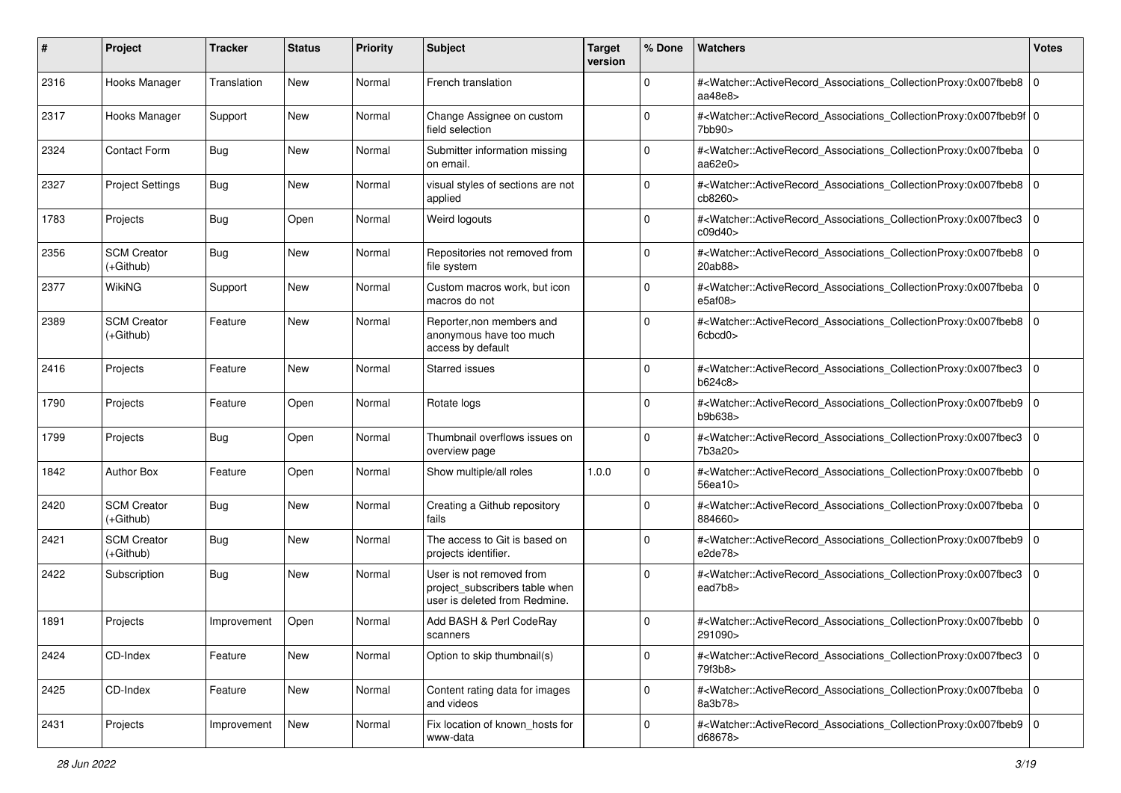| #    | Project                           | <b>Tracker</b> | <b>Status</b> | <b>Priority</b> | <b>Subject</b>                                                                              | <b>Target</b><br>version | % Done      | Watchers                                                                                                                                                          | <b>Votes</b> |
|------|-----------------------------------|----------------|---------------|-----------------|---------------------------------------------------------------------------------------------|--------------------------|-------------|-------------------------------------------------------------------------------------------------------------------------------------------------------------------|--------------|
| 2316 | Hooks Manager                     | Translation    | <b>New</b>    | Normal          | French translation                                                                          |                          | $\mathbf 0$ | # <watcher::activerecord_associations_collectionproxy:0x007fbeb8<br>aa<math>48e8</math></watcher::activerecord_associations_collectionproxy:0x007fbeb8<br>        | l O          |
| 2317 | Hooks Manager                     | Support        | New           | Normal          | Change Assignee on custom<br>field selection                                                |                          | $\mathbf 0$ | # <watcher::activerecord_associations_collectionproxy:0x007fbeb9f 0<br="">7bb90&gt;</watcher::activerecord_associations_collectionproxy:0x007fbeb9f>              |              |
| 2324 | <b>Contact Form</b>               | <b>Bug</b>     | New           | Normal          | Submitter information missing<br>on email.                                                  |                          | 0           | # <watcher::activerecord_associations_collectionproxy:0x007fbeba 0<br=""  ="">aa<math>62e0</math></watcher::activerecord_associations_collectionproxy:0x007fbeba> |              |
| 2327 | <b>Project Settings</b>           | <b>Bug</b>     | New           | Normal          | visual styles of sections are not<br>applied                                                |                          | $\mathbf 0$ | # <watcher::activerecord_associations_collectionproxy:0x007fbeb8<br>cb8260&gt;</watcher::activerecord_associations_collectionproxy:0x007fbeb8<br>                 | l O          |
| 1783 | Projects                          | <b>Bug</b>     | Open          | Normal          | Weird logouts                                                                               |                          | $\Omega$    | # <watcher::activerecord_associations_collectionproxy:0x007fbec3<br>c09d40&gt;</watcher::activerecord_associations_collectionproxy:0x007fbec3<br>                 | 0            |
| 2356 | <b>SCM Creator</b><br>(+Github)   | <b>Bug</b>     | New           | Normal          | Repositories not removed from<br>file system                                                |                          | $\Omega$    | # <watcher::activerecord_associations_collectionproxy:0x007fbeb8<br>20ab88&gt;</watcher::activerecord_associations_collectionproxy:0x007fbeb8<br>                 | l O          |
| 2377 | <b>WikiNG</b>                     | Support        | New           | Normal          | Custom macros work, but icon<br>macros do not                                               |                          | $\mathbf 0$ | # <watcher::activerecord_associations_collectionproxy:0x007fbeba<br>e5af08&gt;</watcher::activerecord_associations_collectionproxy:0x007fbeba<br>                 | l 0          |
| 2389 | <b>SCM Creator</b><br>$(+Github)$ | Feature        | <b>New</b>    | Normal          | Reporter, non members and<br>anonymous have too much<br>access by default                   |                          | $\mathbf 0$ | # <watcher::activerecord_associations_collectionproxy:0x007fbeb8<br>6cbcd0&gt;</watcher::activerecord_associations_collectionproxy:0x007fbeb8<br>                 | l O          |
| 2416 | Projects                          | Feature        | <b>New</b>    | Normal          | <b>Starred issues</b>                                                                       |                          | $\mathbf 0$ | # <watcher::activerecord_associations_collectionproxy:0x007fbec3<br>b624c8&gt;</watcher::activerecord_associations_collectionproxy:0x007fbec3<br>                 | l 0          |
| 1790 | Projects                          | Feature        | Open          | Normal          | Rotate logs                                                                                 |                          | $\Omega$    | # <watcher::activerecord_associations_collectionproxy:0x007fbeb9 0<br="">b9b638&gt;</watcher::activerecord_associations_collectionproxy:0x007fbeb9>               |              |
| 1799 | Projects                          | Bug            | Open          | Normal          | Thumbnail overflows issues on<br>overview page                                              |                          | $\mathbf 0$ | # <watcher::activerecord_associations_collectionproxy:0x007fbec3<br>7b3a20&gt;</watcher::activerecord_associations_collectionproxy:0x007fbec3<br>                 | $\Omega$     |
| 1842 | <b>Author Box</b>                 | Feature        | Open          | Normal          | Show multiple/all roles                                                                     | 1.0.0                    | $\Omega$    | # <watcher::activerecord_associations_collectionproxy:0x007fbebb<br>56ea10&gt;</watcher::activerecord_associations_collectionproxy:0x007fbebb<br>                 | 0            |
| 2420 | <b>SCM Creator</b><br>(+Github)   | <b>Bug</b>     | <b>New</b>    | Normal          | Creating a Github repository<br>fails                                                       |                          | 0           | # <watcher::activerecord_associations_collectionproxy:0x007fbeba 0<br=""  ="">884660&gt;</watcher::activerecord_associations_collectionproxy:0x007fbeba>          |              |
| 2421 | <b>SCM Creator</b><br>(+Github)   | <b>Bug</b>     | New           | Normal          | The access to Git is based on<br>projects identifier.                                       |                          | $\Omega$    | # <watcher::activerecord_associations_collectionproxy:0x007fbeb9 0<br="">e2de78&gt;</watcher::activerecord_associations_collectionproxy:0x007fbeb9>               |              |
| 2422 | Subscription                      | <b>Bug</b>     | New           | Normal          | User is not removed from<br>project_subscribers table when<br>user is deleted from Redmine. |                          | $\Omega$    | # <watcher::activerecord_associations_collectionproxy:0x007fbec3<br>ead7b8&gt;</watcher::activerecord_associations_collectionproxy:0x007fbec3<br>                 | l 0          |
| 1891 | Projects                          | Improvement    | Open          | Normal          | Add BASH & Perl CodeRay<br>scanners                                                         |                          | 0           | # <watcher::activerecord_associations_collectionproxy:0x007fbebb 0<br=""  ="">291090&gt;</watcher::activerecord_associations_collectionproxy:0x007fbebb>          |              |
| 2424 | CD-Index                          | Feature        | <b>New</b>    | Normal          | Option to skip thumbnail(s)                                                                 |                          | $\mathbf 0$ | # <watcher::activerecord_associations_collectionproxy:0x007fbec3 0<br=""  ="">79f3b8&gt;</watcher::activerecord_associations_collectionproxy:0x007fbec3>          |              |
| 2425 | CD-Index                          | Feature        | New           | Normal          | Content rating data for images<br>and videos                                                |                          | $\mathbf 0$ | # <watcher::activerecord_associations_collectionproxy:0x007fbeba 0<br="">8a3b78&gt;</watcher::activerecord_associations_collectionproxy:0x007fbeba>               |              |
| 2431 | Projects                          | Improvement    | New           | Normal          | Fix location of known_hosts for<br>www-data                                                 |                          | $\mathbf 0$ | # <watcher::activerecord 0<br="" associations="" collectionproxy:0x007fbeb9="">d68678&gt;</watcher::activerecord>                                                 |              |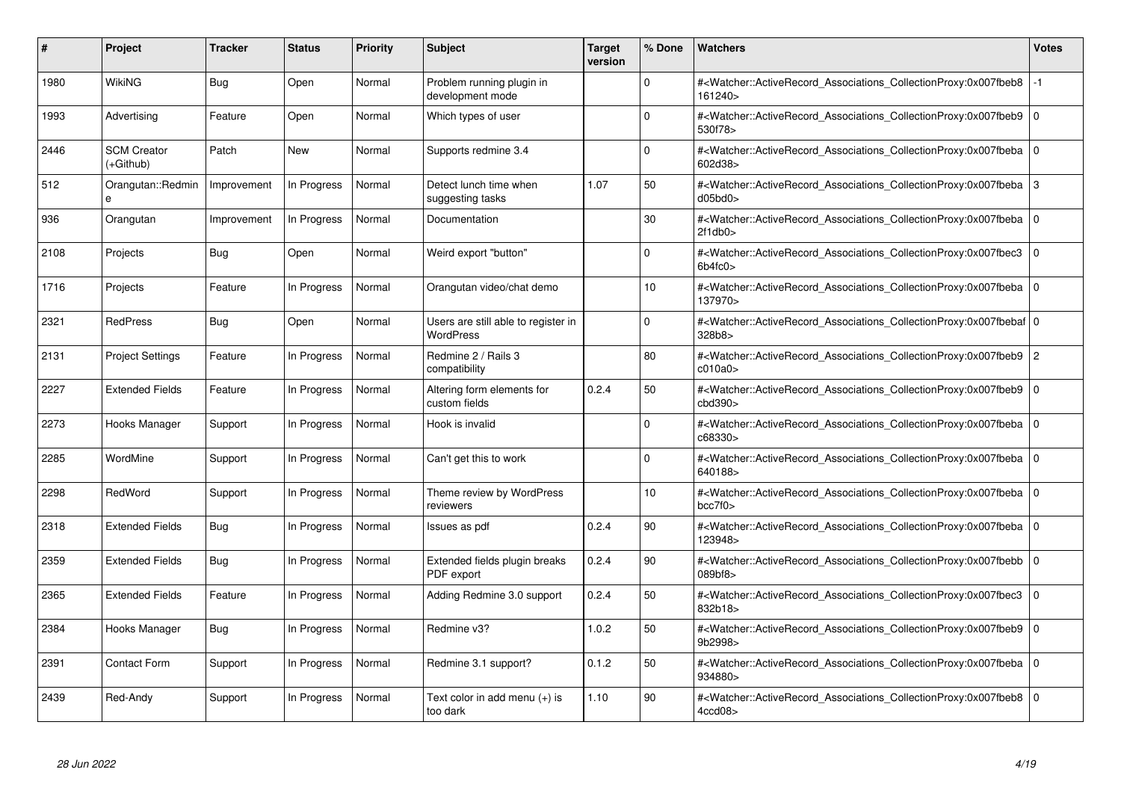| #    | <b>Project</b>                  | Tracker     | <b>Status</b> | <b>Priority</b> | <b>Subject</b>                                          | <b>Target</b><br>version | % Done   | <b>Watchers</b>                                                                                                                                              | <b>Votes</b>   |
|------|---------------------------------|-------------|---------------|-----------------|---------------------------------------------------------|--------------------------|----------|--------------------------------------------------------------------------------------------------------------------------------------------------------------|----------------|
| 1980 | WikiNG                          | Bug         | Open          | Normal          | Problem running plugin in<br>development mode           |                          | $\Omega$ | # <watcher::activerecord associations="" collectionproxy:0x007fbeb8<br="">161240&gt;</watcher::activerecord>                                                 | $-1$           |
| 1993 | Advertising                     | Feature     | Open          | Normal          | Which types of user                                     |                          | $\Omega$ | # <watcher::activerecord_associations_collectionproxy:0x007fbeb9 0<br=""  ="">530f78&gt;</watcher::activerecord_associations_collectionproxy:0x007fbeb9>     |                |
| 2446 | <b>SCM Creator</b><br>(+Github) | Patch       | New           | Normal          | Supports redmine 3.4                                    |                          | $\Omega$ | # <watcher::activerecord associations="" collectionproxy:0x007fbeba<br="">602d38&gt;</watcher::activerecord>                                                 | $\mathbf 0$    |
| 512  | Orangutan::Redmin               | Improvement | In Progress   | Normal          | Detect lunch time when<br>suggesting tasks              | 1.07                     | 50       | # <watcher::activerecord_associations_collectionproxy:0x007fbeba 3<br="">d05bd0</watcher::activerecord_associations_collectionproxy:0x007fbeba>              |                |
| 936  | Orangutan                       | Improvement | In Progress   | Normal          | Documentation                                           |                          | 30       | # <watcher::activerecord_associations_collectionproxy:0x007fbeba 0<br=""  ="">2f1db0</watcher::activerecord_associations_collectionproxy:0x007fbeba>         |                |
| 2108 | Projects                        | Bug         | Open          | Normal          | Weird export "button"                                   |                          | $\Omega$ | # <watcher::activerecord_associations_collectionproxy:0x007fbec3<br>6b4fc0</watcher::activerecord_associations_collectionproxy:0x007fbec3<br>                | $\Omega$       |
| 1716 | Projects                        | Feature     | In Progress   | Normal          | Orangutan video/chat demo                               |                          | 10       | # <watcher::activerecord 0<br="" associations="" collectionproxy:0x007fbeba=""  ="">137970&gt;</watcher::activerecord>                                       |                |
| 2321 | <b>RedPress</b>                 | Bug         | Open          | Normal          | Users are still able to register in<br><b>WordPress</b> |                          | $\Omega$ | # <watcher::activerecord 0<br="" associations="" collectionproxy:0x007fbebaf=""  ="">328b8&gt;</watcher::activerecord>                                       |                |
| 2131 | <b>Project Settings</b>         | Feature     | In Progress   | Normal          | Redmine 2 / Rails 3<br>compatibility                    |                          | 80       | # <watcher::activerecord associations="" collectionproxy:0x007fbeb9<br="">c010a0</watcher::activerecord>                                                     | $\overline{c}$ |
| 2227 | <b>Extended Fields</b>          | Feature     | In Progress   | Normal          | Altering form elements for<br>custom fields             | 0.2.4                    | 50       | # <watcher::activerecord_associations_collectionproxy:0x007fbeb9<br>cbd390<sub>&gt;</sub></watcher::activerecord_associations_collectionproxy:0x007fbeb9<br> | $\Omega$       |
| 2273 | Hooks Manager                   | Support     | In Progress   | Normal          | Hook is invalid                                         |                          | $\Omega$ | # <watcher::activerecord 0<br="" associations="" collectionproxy:0x007fbeba=""  ="">c68330&gt;</watcher::activerecord>                                       |                |
| 2285 | WordMine                        | Support     | In Progress   | Normal          | Can't get this to work                                  |                          | $\Omega$ | # <watcher::activerecord associations="" collectionproxy:0x007fbeba<br="">640188&gt;</watcher::activerecord>                                                 | $\mathbf 0$    |
| 2298 | RedWord                         | Support     | In Progress   | Normal          | Theme review by WordPress<br>reviewers                  |                          | 10       | # <watcher::activerecord 0<br="" associations="" collectionproxy:0x007fbeba=""  ="">bcc7f0</watcher::activerecord>                                           |                |
| 2318 | <b>Extended Fields</b>          | <b>Bug</b>  | In Progress   | Normal          | Issues as pdf                                           | 0.2.4                    | 90       | # <watcher::activerecord_associations_collectionproxy:0x007fbeba<br>123948&gt;</watcher::activerecord_associations_collectionproxy:0x007fbeba<br>            | $\Omega$       |
| 2359 | <b>Extended Fields</b>          | Bug         | In Progress   | Normal          | Extended fields plugin breaks<br>PDF export             | 0.2.4                    | 90       | # <watcher::activerecord 0<br="" associations="" collectionproxy:0x007fbebb=""  ="">089hf8</watcher::activerecord>                                           |                |
| 2365 | <b>Extended Fields</b>          | Feature     | In Progress   | Normal          | Adding Redmine 3.0 support                              | 0.2.4                    | 50       | # <watcher::activerecord associations="" collectionproxy:0x007fbec3<br="">832b18&gt;</watcher::activerecord>                                                 | $\mathbf 0$    |
| 2384 | Hooks Manager                   | <b>Bug</b>  | In Progress   | Normal          | Redmine v3?                                             | 1.0.2                    | 50       | # <watcher::activerecord_associations_collectionproxy:0x007fbeb9  <br="">9b2998&gt;</watcher::activerecord_associations_collectionproxy:0x007fbeb9>          | $\Omega$       |
| 2391 | <b>Contact Form</b>             | Support     | In Progress   | Normal          | Redmine 3.1 support?                                    | 0.1.2                    | 50       | # <watcher::activerecord_associations_collectionproxy:0x007fbeba  <br="">934880&gt;</watcher::activerecord_associations_collectionproxy:0x007fbeba>          | $\Omega$       |
| 2439 | Red-Andy                        | Support     | In Progress   | Normal          | Text color in add menu (+) is<br>too dark               | 1.10                     | 90       | # <watcher::activerecord associations="" collectionproxy:0x007fbeb8=""  <br="">4ccd08</watcher::activerecord>                                                | $\mathbf 0$    |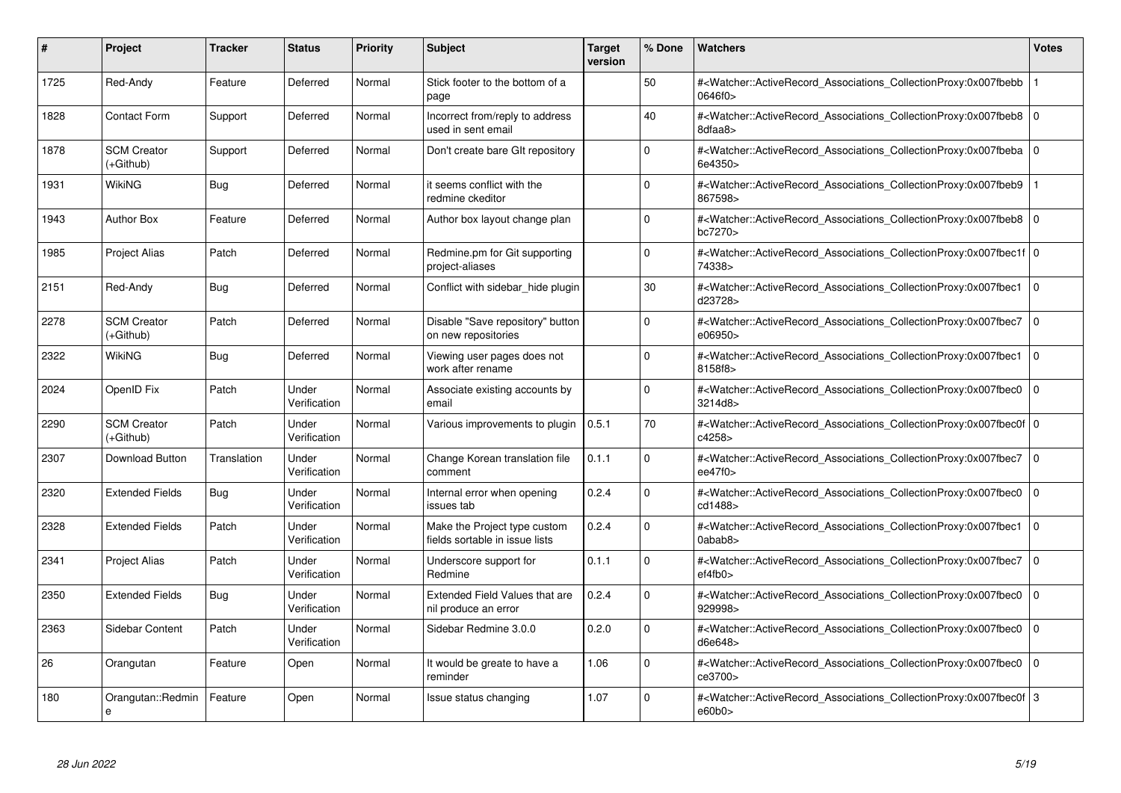| #    | Project                         | Tracker     | <b>Status</b>         | <b>Priority</b> | <b>Subject</b>                                                 | <b>Target</b><br>version | % Done      | <b>Watchers</b>                                                                                                                                           | <b>Votes</b>   |
|------|---------------------------------|-------------|-----------------------|-----------------|----------------------------------------------------------------|--------------------------|-------------|-----------------------------------------------------------------------------------------------------------------------------------------------------------|----------------|
| 1725 | Red-Andy                        | Feature     | Deferred              | Normal          | Stick footer to the bottom of a<br>page                        |                          | 50          | # <watcher::activerecord_associations_collectionproxy:0x007fbebb<br>0646f0&gt;</watcher::activerecord_associations_collectionproxy:0x007fbebb<br>         |                |
| 1828 | <b>Contact Form</b>             | Support     | Deferred              | Normal          | Incorrect from/reply to address<br>used in sent email          |                          | 40          | # <watcher::activerecord 0<br="" associations="" collectionproxy:0x007fbeb8=""  ="">8dfaa8&gt;</watcher::activerecord>                                    |                |
| 1878 | <b>SCM Creator</b><br>(+Github) | Support     | Deferred              | Normal          | Don't create bare GIt repository                               |                          | $\mathbf 0$ | # <watcher::activerecord associations="" collectionproxy:0x007fbeba<br="">6e4350&gt;</watcher::activerecord>                                              | $\mathbf 0$    |
| 1931 | WikiNG                          | Bug         | Deferred              | Normal          | it seems conflict with the<br>redmine ckeditor                 |                          | $\Omega$    | # <watcher::activerecord_associations_collectionproxy:0x007fbeb9<br>867598&gt;</watcher::activerecord_associations_collectionproxy:0x007fbeb9<br>         |                |
| 1943 | <b>Author Box</b>               | Feature     | Deferred              | Normal          | Author box layout change plan                                  |                          | $\Omega$    | # <watcher::activerecord associations="" collectionproxy:0x007fbeb8<br="">bc7270&gt;</watcher::activerecord>                                              | l 0            |
| 1985 | <b>Project Alias</b>            | Patch       | Deferred              | Normal          | Redmine.pm for Git supporting<br>project-aliases               |                          | $\Omega$    | # <watcher::activerecord 0<br="" associations="" collectionproxy:0x007fbec1f=""  ="">74338&gt;</watcher::activerecord>                                    |                |
| 2151 | Red-Andy                        | <b>Bug</b>  | Deferred              | Normal          | Conflict with sidebar hide plugin                              |                          | 30          | # <watcher::activerecord_associations_collectionproxy:0x007fbec1<br>d23728&gt;</watcher::activerecord_associations_collectionproxy:0x007fbec1<br>         | $\overline{0}$ |
| 2278 | <b>SCM Creator</b><br>(+Github) | Patch       | Deferred              | Normal          | Disable "Save repository" button<br>on new repositories        |                          | $\Omega$    | # <watcher::activerecord associations="" collectionproxy:0x007fbec7<br="">e06950&gt;</watcher::activerecord>                                              | l O            |
| 2322 | WikiNG                          | Bug         | Deferred              | Normal          | Viewing user pages does not<br>work after rename               |                          | $\Omega$    | # <watcher::activerecord associations="" collectionproxy:0x007fbec1<br="">8158f8&gt;</watcher::activerecord>                                              | $\overline{0}$ |
| 2024 | OpenID Fix                      | Patch       | Under<br>Verification | Normal          | Associate existing accounts by<br>email                        |                          | $\mathbf 0$ | # <watcher::activerecord_associations_collectionproxy:0x007fbec0 0<br="">3214d8&gt;</watcher::activerecord_associations_collectionproxy:0x007fbec0>       |                |
| 2290 | <b>SCM Creator</b><br>(+Github) | Patch       | Under<br>Verification | Normal          | Various improvements to plugin                                 | 0.5.1                    | 70          | # <watcher::activerecord_associations_collectionproxy:0x007fbec0f 0<br=""  ="">c4258&gt;</watcher::activerecord_associations_collectionproxy:0x007fbec0f> |                |
| 2307 | Download Button                 | Translation | Under<br>Verification | Normal          | Change Korean translation file<br>comment                      | 0.1.1                    | $\Omega$    | # <watcher::activerecord_associations_collectionproxy:0x007fbec7<br>ee47f0&gt;</watcher::activerecord_associations_collectionproxy:0x007fbec7<br>         | l o            |
| 2320 | <b>Extended Fields</b>          | Bug         | Under<br>Verification | Normal          | Internal error when opening<br>issues tab                      | 0.2.4                    | $\mathbf 0$ | # <watcher::activerecord associations="" collectionproxy:0x007fbec0<br="">cd1488&gt;</watcher::activerecord>                                              | $\mathbf 0$    |
| 2328 | <b>Extended Fields</b>          | Patch       | Under<br>Verification | Normal          | Make the Project type custom<br>fields sortable in issue lists | 0.2.4                    | $\mathbf 0$ | # <watcher::activerecord associations="" collectionproxy:0x007fbec1<br="">0abab8&gt;</watcher::activerecord>                                              | $\mathbf 0$    |
| 2341 | <b>Project Alias</b>            | Patch       | Under<br>Verification | Normal          | Underscore support for<br>Redmine                              | 0.1.1                    | $\Omega$    | # <watcher::activerecord_associations_collectionproxy:0x007fbec7<br>ef4fb0</watcher::activerecord_associations_collectionproxy:0x007fbec7<br>             | l 0            |
| 2350 | <b>Extended Fields</b>          | Bug         | Under<br>Verification | Normal          | Extended Field Values that are<br>nil produce an error         | 0.2.4                    | $\Omega$    | # <watcher::activerecord associations="" collectionproxy:0x007fbec0<br="">929998&gt;</watcher::activerecord>                                              | $\Omega$       |
| 2363 | Sidebar Content                 | Patch       | Under<br>Verification | Normal          | Sidebar Redmine 3.0.0                                          | 0.2.0                    | $\mathbf 0$ | # <watcher::activerecord associations="" collectionproxy:0x007fbec0<br="">d6e648&gt;</watcher::activerecord>                                              | $\overline{0}$ |
| 26   | Orangutan                       | Feature     | Open                  | Normal          | It would be greate to have a<br>reminder                       | 1.06                     | $\mathbf 0$ | # <watcher::activerecord associations="" collectionproxy:0x007fbec0<br="">ce3700&gt;</watcher::activerecord>                                              | $\mathbf 0$    |
| 180  | Orangutan::Redmin<br>e          | Feature     | Open                  | Normal          | Issue status changing                                          | 1.07                     | $\Omega$    | # <watcher::activerecord_associations_collectionproxy:0x007fbec0f 3<br="">e60b0</watcher::activerecord_associations_collectionproxy:0x007fbec0f>          |                |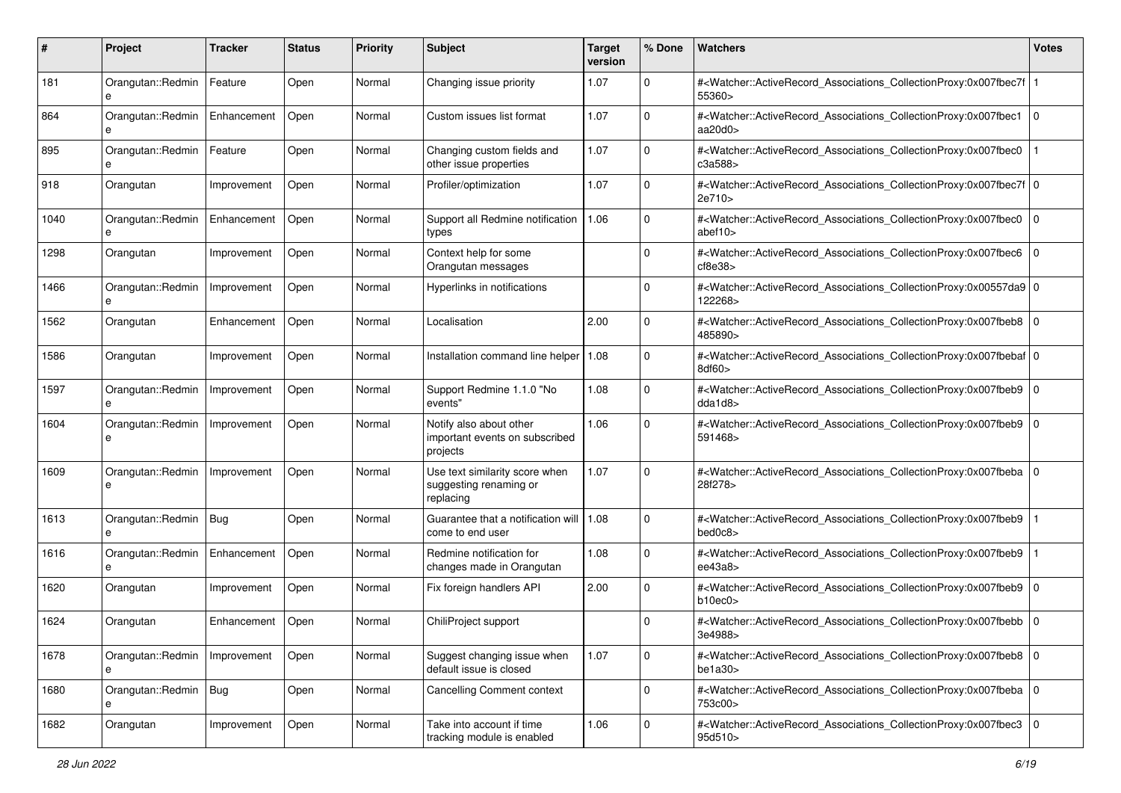| #    | Project                      | <b>Tracker</b> | <b>Status</b> | <b>Priority</b> | <b>Subject</b>                                                        | <b>Target</b><br>version | % Done       | Watchers                                                                                                                                                       | <b>Votes</b> |
|------|------------------------------|----------------|---------------|-----------------|-----------------------------------------------------------------------|--------------------------|--------------|----------------------------------------------------------------------------------------------------------------------------------------------------------------|--------------|
| 181  | Orangutan::Redmin<br>e       | Feature        | Open          | Normal          | Changing issue priority                                               | 1.07                     | $\mathbf 0$  | # <watcher::activerecord_associations_collectionproxy:0x007fbec7f<br>55360&gt;</watcher::activerecord_associations_collectionproxy:0x007fbec7f<br>             |              |
| 864  | Orangutan::Redmin<br>e       | Enhancement    | Open          | Normal          | Custom issues list format                                             | 1.07                     | 0            | # <watcher::activerecord_associations_collectionproxy:0x007fbec1<br>aa<math>20d0</math></watcher::activerecord_associations_collectionproxy:0x007fbec1<br>     | $\mathbf 0$  |
| 895  | Orangutan::Redmin<br>e       | Feature        | Open          | Normal          | Changing custom fields and<br>other issue properties                  | 1.07                     | 0            | # <watcher::activerecord_associations_collectionproxy:0x007fbec0<br>c3a588&gt;</watcher::activerecord_associations_collectionproxy:0x007fbec0<br>              |              |
| 918  | Orangutan                    | Improvement    | Open          | Normal          | Profiler/optimization                                                 | 1.07                     | 0            | # <watcher::activerecord_associations_collectionproxy:0x007fbec7f 0<br="">2e710&gt;</watcher::activerecord_associations_collectionproxy:0x007fbec7f>           |              |
| 1040 | Orangutan::Redmin<br>e       | Enhancement    | Open          | Normal          | Support all Redmine notification<br>types                             | 1.06                     | 0            | # <watcher::activerecord_associations_collectionproxy:0x007fbec0<br>abef10<math>&gt;</math></watcher::activerecord_associations_collectionproxy:0x007fbec0<br> | $\mathbf 0$  |
| 1298 | Orangutan                    | Improvement    | Open          | Normal          | Context help for some<br>Orangutan messages                           |                          | 0            | # <watcher::activerecord_associations_collectionproxy:0x007fbec6<br>cf8e38</watcher::activerecord_associations_collectionproxy:0x007fbec6<br>                  | $\mathbf 0$  |
| 1466 | Orangutan::Redmin            | Improvement    | Open          | Normal          | Hyperlinks in notifications                                           |                          | $\mathbf 0$  | # <watcher::activerecord_associations_collectionproxy:0x00557da9 0<br=""  ="">122268&gt;</watcher::activerecord_associations_collectionproxy:0x00557da9>       |              |
| 1562 | Orangutan                    | Enhancement    | Open          | Normal          | Localisation                                                          | 2.00                     | $\mathbf 0$  | # <watcher::activerecord_associations_collectionproxy:0x007fbeb8<br>485890&gt;</watcher::activerecord_associations_collectionproxy:0x007fbeb8<br>              | l O          |
| 1586 | Orangutan                    | Improvement    | Open          | Normal          | Installation command line helper                                      | 1.08                     | $\mathbf 0$  | # <watcher::activerecord_associations_collectionproxy:0x007fbebaf 0<br=""  ="">8df60&gt;</watcher::activerecord_associations_collectionproxy:0x007fbebaf>      |              |
| 1597 | Orangutan::Redmin<br>e       | Improvement    | Open          | Normal          | Support Redmine 1.1.0 "No<br>events"                                  | 1.08                     | 0            | # <watcher::activerecord_associations_collectionproxy:0x007fbeb9 0<br="">dda1d8</watcher::activerecord_associations_collectionproxy:0x007fbeb9>                |              |
| 1604 | Orangutan::Redmin<br>e       | Improvement    | Open          | Normal          | Notify also about other<br>important events on subscribed<br>projects | 1.06                     | $\Omega$     | # <watcher::activerecord_associations_collectionproxy:0x007fbeb9 0<br=""  ="">591468&gt;</watcher::activerecord_associations_collectionproxy:0x007fbeb9>       |              |
| 1609 | Orangutan::Redmin<br>e       | Improvement    | Open          | Normal          | Use text similarity score when<br>suggesting renaming or<br>replacing | 1.07                     | $\Omega$     | # <watcher::activerecord_associations_collectionproxy:0x007fbeba<br>28f278&gt;</watcher::activerecord_associations_collectionproxy:0x007fbeba<br>              | l O          |
| 1613 | Orangutan::Redmin   Bug<br>e |                | Open          | Normal          | Guarantee that a notification will<br>come to end user                | 1.08                     | $\Omega$     | # <watcher::activerecord_associations_collectionproxy:0x007fbeb9<br>bed0c8&gt;</watcher::activerecord_associations_collectionproxy:0x007fbeb9<br>              |              |
| 1616 | Orangutan::Redmin<br>e       | Enhancement    | Open          | Normal          | Redmine notification for<br>changes made in Orangutan                 | 1.08                     | 0            | # <watcher::activerecord_associations_collectionproxy:0x007fbeb9<br>ee43a8</watcher::activerecord_associations_collectionproxy:0x007fbeb9<br>                  |              |
| 1620 | Orangutan                    | Improvement    | Open          | Normal          | Fix foreign handlers API                                              | 2.00                     | $\mathbf 0$  | # <watcher::activerecord_associations_collectionproxy:0x007fbeb9 0<br="">b10ec0</watcher::activerecord_associations_collectionproxy:0x007fbeb9>                |              |
| 1624 | Orangutan                    | Enhancement    | Open          | Normal          | ChiliProject support                                                  |                          | 0            | # <watcher::activerecord_associations_collectionproxy:0x007fbebb 0<br=""  ="">3e4988&gt;</watcher::activerecord_associations_collectionproxy:0x007fbebb>       |              |
| 1678 | Orangutan::Redmin<br>e       | Improvement    | Open          | Normal          | Suggest changing issue when<br>default issue is closed                | 1.07                     | $\mathbf 0$  | # <watcher::activerecord_associations_collectionproxy:0x007fbeb8 0<br=""  ="">be1a30&gt;</watcher::activerecord_associations_collectionproxy:0x007fbeb8>       |              |
| 1680 | Orangutan::Redmin   Bug<br>e |                | Open          | Normal          | <b>Cancelling Comment context</b>                                     |                          | $\mathbf{0}$ | # <watcher::activerecord_associations_collectionproxy:0x007fbeba 0<br="">753c00&gt;</watcher::activerecord_associations_collectionproxy:0x007fbeba>            |              |
| 1682 | Orangutan                    | Improvement    | Open          | Normal          | Take into account if time<br>tracking module is enabled               | 1.06                     | 0            | # <watcher::activerecord associations="" collectionproxy:0x007fbec3<br="">95d510&gt;</watcher::activerecord>                                                   | l o          |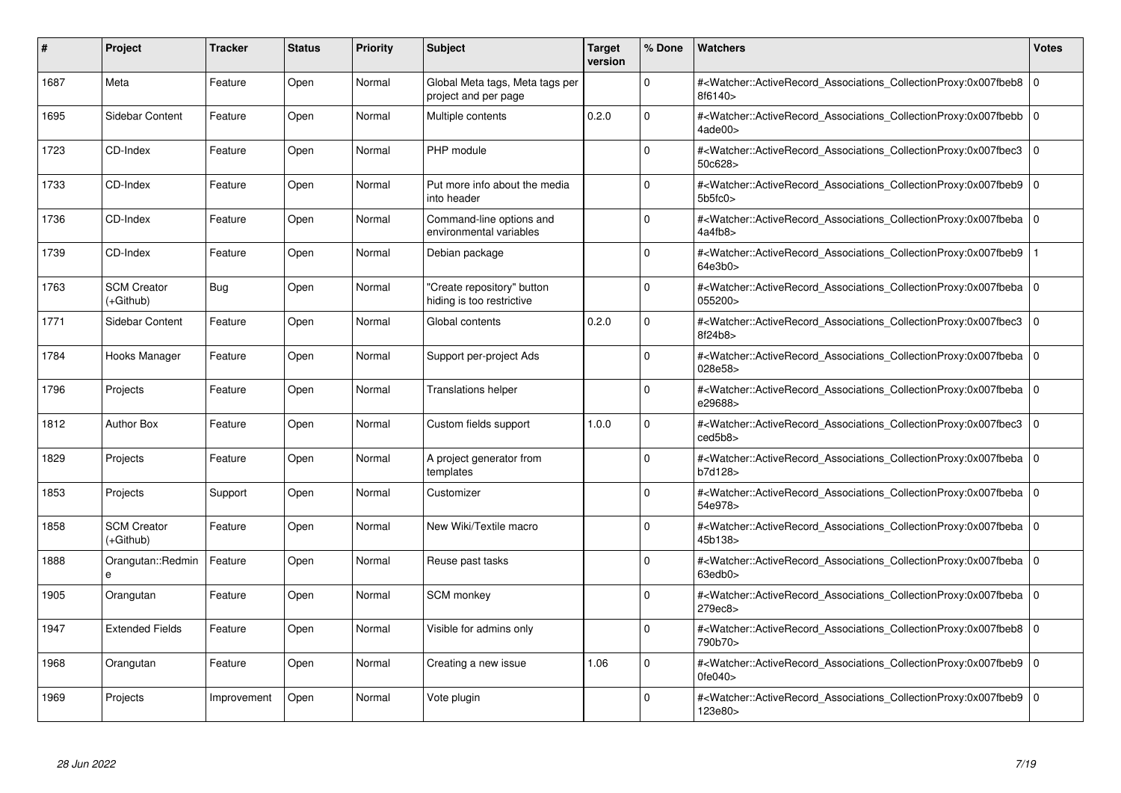| #    | Project                         | Tracker     | <b>Status</b> | <b>Priority</b> | <b>Subject</b>                                          | <b>Target</b><br>version | % Done   | <b>Watchers</b>                                                                                                                                          | <b>Votes</b> |
|------|---------------------------------|-------------|---------------|-----------------|---------------------------------------------------------|--------------------------|----------|----------------------------------------------------------------------------------------------------------------------------------------------------------|--------------|
| 1687 | Meta                            | Feature     | Open          | Normal          | Global Meta tags, Meta tags per<br>project and per page |                          | $\Omega$ | # <watcher::activerecord_associations_collectionproxy:0x007fbeb8<br>8f6140&gt;</watcher::activerecord_associations_collectionproxy:0x007fbeb8<br>        | $\mathbf 0$  |
| 1695 | Sidebar Content                 | Feature     | Open          | Normal          | Multiple contents                                       | 0.2.0                    | $\Omega$ | # <watcher::activerecord 0<br="" associations="" collectionproxy:0x007fbebb=""  ="">4ade00&gt;</watcher::activerecord>                                   |              |
| 1723 | CD-Index                        | Feature     | Open          | Normal          | PHP module                                              |                          | $\Omega$ | # <watcher::activerecord_associations_collectionproxy:0x007fbec3<br>50c628&gt;</watcher::activerecord_associations_collectionproxy:0x007fbec3<br>        | $\mathbf 0$  |
| 1733 | CD-Index                        | Feature     | Open          | Normal          | Put more info about the media<br>into header            |                          | $\Omega$ | # <watcher::activerecord_associations_collectionproxy:0x007fbeb9 0<br=""  ="">5b5fc0</watcher::activerecord_associations_collectionproxy:0x007fbeb9>     |              |
| 1736 | CD-Index                        | Feature     | Open          | Normal          | Command-line options and<br>environmental variables     |                          | $\Omega$ | # <watcher::activerecord associations="" collectionproxy:0x007fbeba<br="">4a4fb8</watcher::activerecord>                                                 | $\mathbf 0$  |
| 1739 | CD-Index                        | Feature     | Open          | Normal          | Debian package                                          |                          | $\Omega$ | # <watcher::activerecord_associations_collectionproxy:0x007fbeb9<br>64e3b0&gt;</watcher::activerecord_associations_collectionproxy:0x007fbeb9<br>        |              |
| 1763 | <b>SCM Creator</b><br>(+Github) | Bug         | Open          | Normal          | 'Create repository" button<br>hiding is too restrictive |                          | $\Omega$ | # <watcher::activerecord_associations_collectionproxy:0x007fbeba  <br="">055200&gt;</watcher::activerecord_associations_collectionproxy:0x007fbeba>      | $\mathbf 0$  |
| 1771 | Sidebar Content                 | Feature     | Open          | Normal          | Global contents                                         | 0.2.0                    | $\Omega$ | # <watcher::activerecord associations="" collectionproxy:0x007fbec3=""  <br="">8f24b8&gt;</watcher::activerecord>                                        | $\mathbf 0$  |
| 1784 | Hooks Manager                   | Feature     | Open          | Normal          | Support per-project Ads                                 |                          | $\Omega$ | # <watcher::activerecord_associations_collectionproxy:0x007fbeba 0<br=""  ="">028e58&gt;</watcher::activerecord_associations_collectionproxy:0x007fbeba> |              |
| 1796 | Projects                        | Feature     | Open          | Normal          | <b>Translations helper</b>                              |                          | $\Omega$ | # <watcher::activerecord_associations_collectionproxy:0x007fbeba 0<br="">e29688&gt;</watcher::activerecord_associations_collectionproxy:0x007fbeba>      |              |
| 1812 | <b>Author Box</b>               | Feature     | Open          | Normal          | Custom fields support                                   | 1.0.0                    | $\Omega$ | # <watcher::activerecord associations="" collectionproxy:0x007fbec3<br="">ced5b8&gt;</watcher::activerecord>                                             | $\mathbf 0$  |
| 1829 | Projects                        | Feature     | Open          | Normal          | A project generator from<br>templates                   |                          | $\Omega$ | # <watcher::activerecord_associations_collectionproxy:0x007fbeba 0<br=""  ="">b7d128&gt;</watcher::activerecord_associations_collectionproxy:0x007fbeba> |              |
| 1853 | Projects                        | Support     | Open          | Normal          | Customizer                                              |                          | $\Omega$ | # <watcher::activerecord_associations_collectionproxy:0x007fbeba  <br="">54e978&gt;</watcher::activerecord_associations_collectionproxy:0x007fbeba>      | $\mathbf 0$  |
| 1858 | <b>SCM Creator</b><br>(+Github) | Feature     | Open          | Normal          | New Wiki/Textile macro                                  |                          | $\Omega$ | # <watcher::activerecord associations="" collectionproxy:0x007fbeba<br="">45b138&gt;</watcher::activerecord>                                             | $\mathbf 0$  |
| 1888 | Orangutan::Redmin               | Feature     | Open          | Normal          | Reuse past tasks                                        |                          | $\Omega$ | # <watcher::activerecord_associations_collectionproxy:0x007fbeba 0<br=""  ="">63edb0&gt;</watcher::activerecord_associations_collectionproxy:0x007fbeba> |              |
| 1905 | Orangutan                       | Feature     | Open          | Normal          | <b>SCM</b> monkey                                       |                          | $\Omega$ | # <watcher::activerecord_associations_collectionproxy:0x007fbeba<br>279ec8&gt;</watcher::activerecord_associations_collectionproxy:0x007fbeba<br>        | $\mathbf 0$  |
| 1947 | <b>Extended Fields</b>          | Feature     | Open          | Normal          | Visible for admins only                                 |                          | $\Omega$ | # <watcher::activerecord associations="" collectionproxy:0x007fbeb8<br="">790b70&gt;</watcher::activerecord>                                             | $\mathbf 0$  |
| 1968 | Orangutan                       | Feature     | Open          | Normal          | Creating a new issue                                    | 1.06                     | $\Omega$ | # <watcher::activerecord associations="" collectionproxy:0x007fbeb9<br="">0fe040&gt;</watcher::activerecord>                                             | $\mathbf 0$  |
| 1969 | Projects                        | Improvement | Open          | Normal          | Vote plugin                                             |                          | $\Omega$ | # <watcher::activerecord_associations_collectionproxy:0x007fbeb9 0<br=""  ="">123e80&gt;</watcher::activerecord_associations_collectionproxy:0x007fbeb9> |              |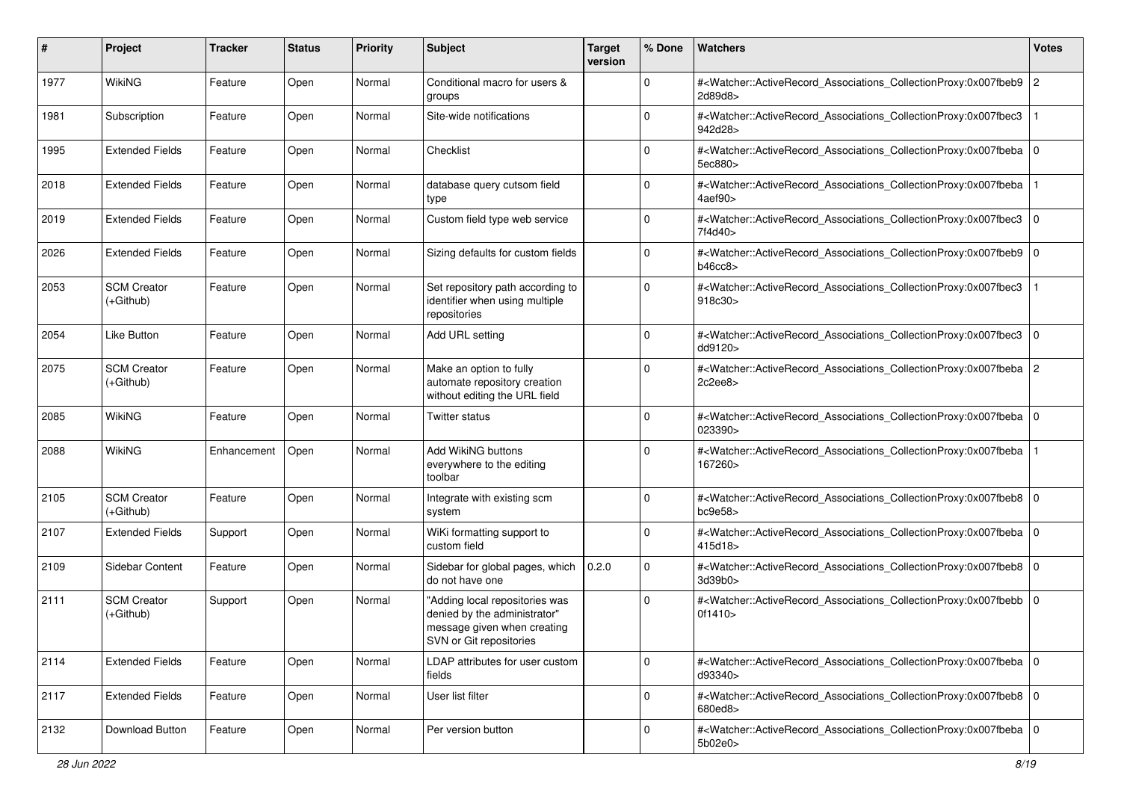| #    | Project                           | <b>Tracker</b> | <b>Status</b> | <b>Priority</b> | Subject                                                                                                                  | <b>Target</b><br>version | % Done      | Watchers                                                                                                                                                 | <b>Votes</b>   |
|------|-----------------------------------|----------------|---------------|-----------------|--------------------------------------------------------------------------------------------------------------------------|--------------------------|-------------|----------------------------------------------------------------------------------------------------------------------------------------------------------|----------------|
| 1977 | WikiNG                            | Feature        | Open          | Normal          | Conditional macro for users &<br>groups                                                                                  |                          | $\mathbf 0$ | # <watcher::activerecord_associations_collectionproxy:0x007fbeb9<br>2d89d8&gt;</watcher::activerecord_associations_collectionproxy:0x007fbeb9<br>        | 2              |
| 1981 | Subscription                      | Feature        | Open          | Normal          | Site-wide notifications                                                                                                  |                          | $\Omega$    | # <watcher::activerecord_associations_collectionproxy:0x007fbec3<br>942d28&gt;</watcher::activerecord_associations_collectionproxy:0x007fbec3<br>        |                |
| 1995 | <b>Extended Fields</b>            | Feature        | Open          | Normal          | Checklist                                                                                                                |                          | 0           | # <watcher::activerecord_associations_collectionproxy:0x007fbeba 0<br=""  ="">5ec880&gt;</watcher::activerecord_associations_collectionproxy:0x007fbeba> |                |
| 2018 | <b>Extended Fields</b>            | Feature        | Open          | Normal          | database query cutsom field<br>type                                                                                      |                          | $\mathbf 0$ | # <watcher::activerecord_associations_collectionproxy:0x007fbeba<br>4aef90&gt;</watcher::activerecord_associations_collectionproxy:0x007fbeba<br>        |                |
| 2019 | <b>Extended Fields</b>            | Feature        | Open          | Normal          | Custom field type web service                                                                                            |                          | $\Omega$    | # <watcher::activerecord_associations_collectionproxy:0x007fbec3<br>7f4d40&gt;</watcher::activerecord_associations_collectionproxy:0x007fbec3<br>        | 0              |
| 2026 | <b>Extended Fields</b>            | Feature        | Open          | Normal          | Sizing defaults for custom fields                                                                                        |                          | $\Omega$    | # <watcher::activerecord_associations_collectionproxy:0x007fbeb9 0<br="">b46cc8</watcher::activerecord_associations_collectionproxy:0x007fbeb9>          |                |
| 2053 | <b>SCM Creator</b><br>(+Github)   | Feature        | Open          | Normal          | Set repository path according to<br>identifier when using multiple<br>repositories                                       |                          | $\Omega$    | # <watcher::activerecord_associations_collectionproxy:0x007fbec3<br>918c30&gt;</watcher::activerecord_associations_collectionproxy:0x007fbec3<br>        |                |
| 2054 | <b>Like Button</b>                | Feature        | Open          | Normal          | Add URL setting                                                                                                          |                          | $\Omega$    | # <watcher::activerecord_associations_collectionproxy:0x007fbec3<br>dd9120&gt;</watcher::activerecord_associations_collectionproxy:0x007fbec3<br>        | 0              |
| 2075 | <b>SCM Creator</b><br>$(+Github)$ | Feature        | Open          | Normal          | Make an option to fully<br>automate repository creation<br>without editing the URL field                                 |                          | $\Omega$    | # <watcher::activerecord_associations_collectionproxy:0x007fbeba 2<br="">2c2ee8</watcher::activerecord_associations_collectionproxy:0x007fbeba>          |                |
| 2085 | <b>WikiNG</b>                     | Feature        | Open          | Normal          | Twitter status                                                                                                           |                          | $\mathbf 0$ | # <watcher::activerecord_associations_collectionproxy:0x007fbeba 0<br="">023390&gt;</watcher::activerecord_associations_collectionproxy:0x007fbeba>      |                |
| 2088 | WikiNG                            | Enhancement    | Open          | Normal          | <b>Add WikiNG buttons</b><br>everywhere to the editing<br>toolbar                                                        |                          | $\Omega$    | # <watcher::activerecord_associations_collectionproxy:0x007fbeba<br>167260&gt;</watcher::activerecord_associations_collectionproxy:0x007fbeba<br>        |                |
| 2105 | <b>SCM Creator</b><br>$(+Github)$ | Feature        | Open          | Normal          | Integrate with existing scm<br>system                                                                                    |                          | $\mathbf 0$ | # <watcher::activerecord_associations_collectionproxy:0x007fbeb8 0<br="">bc9e58</watcher::activerecord_associations_collectionproxy:0x007fbeb8>          |                |
| 2107 | <b>Extended Fields</b>            | Support        | Open          | Normal          | WiKi formatting support to<br>custom field                                                                               |                          | $\Omega$    | # <watcher::activerecord_associations_collectionproxy:0x007fbeba<br>415d18&gt;</watcher::activerecord_associations_collectionproxy:0x007fbeba<br>        | l O            |
| 2109 | Sidebar Content                   | Feature        | Open          | Normal          | Sidebar for global pages, which<br>do not have one                                                                       | 0.2.0                    | $\Omega$    | # <watcher::activerecord_associations_collectionproxy:0x007fbeb8 0<br="">3d39b0&gt;</watcher::activerecord_associations_collectionproxy:0x007fbeb8>      |                |
| 2111 | <b>SCM Creator</b><br>$(+Github)$ | Support        | Open          | Normal          | "Adding local repositories was<br>denied by the administrator"<br>message given when creating<br>SVN or Git repositories |                          | $\Omega$    | # <watcher::activerecord_associations_collectionproxy:0x007fbebb<br>0f1410&gt;</watcher::activerecord_associations_collectionproxy:0x007fbebb<br>        | $\overline{0}$ |
| 2114 | <b>Extended Fields</b>            | Feature        | Open          | Normal          | LDAP attributes for user custom<br>fields                                                                                |                          | 0           | # <watcher::activerecord_associations_collectionproxy:0x007fbeba 0<br=""  ="">d93340&gt;</watcher::activerecord_associations_collectionproxy:0x007fbeba> |                |
| 2117 | <b>Extended Fields</b>            | Feature        | Open          | Normal          | User list filter                                                                                                         |                          | 0           | # <watcher::activerecord_associations_collectionproxy:0x007fbeb8 0<br="">680ed8&gt;</watcher::activerecord_associations_collectionproxy:0x007fbeb8>      |                |
| 2132 | Download Button                   | Feature        | Open          | Normal          | Per version button                                                                                                       |                          | 0           | # <watcher::activerecord_associations_collectionproxy:0x007fbeba 0<br="">5b02e0</watcher::activerecord_associations_collectionproxy:0x007fbeba>          |                |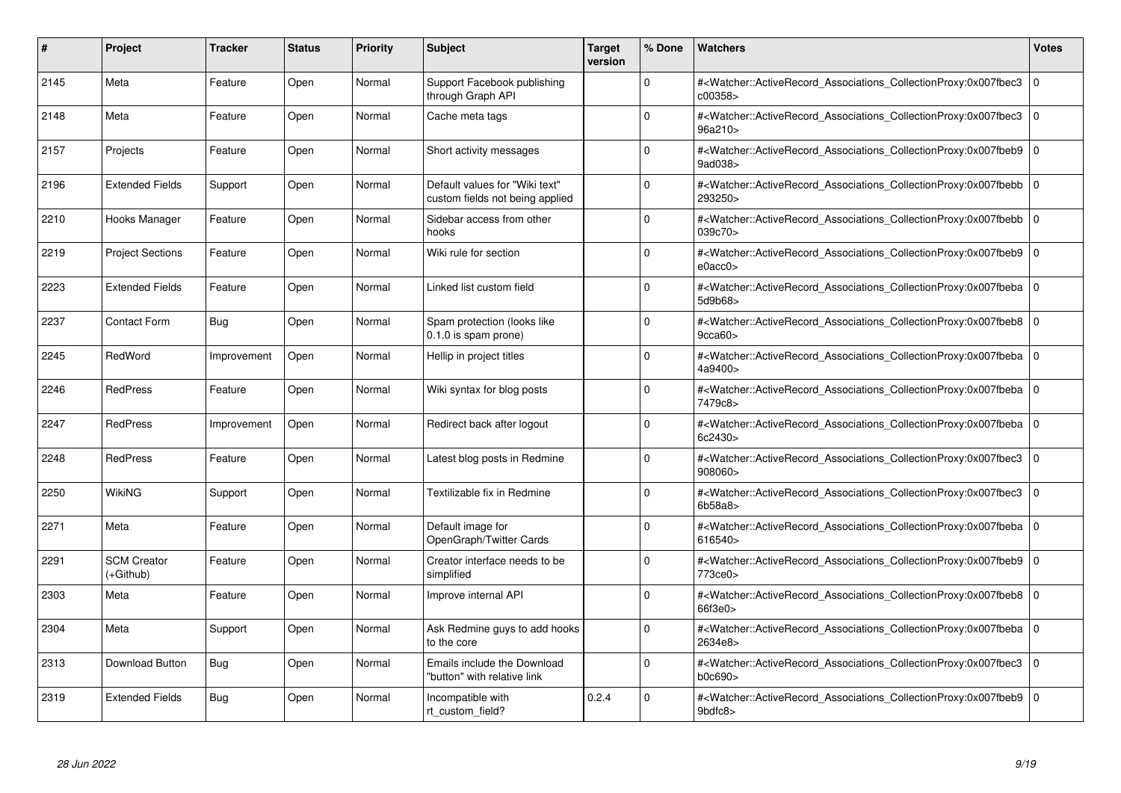| #    | Project                         | Tracker     | <b>Status</b> | <b>Priority</b> | <b>Subject</b>                                                    | <b>Target</b><br>version | % Done   | <b>Watchers</b>                                                                                                                                          | <b>Votes</b> |
|------|---------------------------------|-------------|---------------|-----------------|-------------------------------------------------------------------|--------------------------|----------|----------------------------------------------------------------------------------------------------------------------------------------------------------|--------------|
| 2145 | Meta                            | Feature     | Open          | Normal          | Support Facebook publishing<br>through Graph API                  |                          | $\Omega$ | # <watcher::activerecord associations="" collectionproxy:0x007fbec3<br="">c00358&gt;</watcher::activerecord>                                             | $\mathbf 0$  |
| 2148 | Meta                            | Feature     | Open          | Normal          | Cache meta tags                                                   |                          | $\Omega$ | # <watcher::activerecord associations="" collectionproxy:0x007fbec3<br="">96a210&gt;</watcher::activerecord>                                             | $\mathbf 0$  |
| 2157 | Projects                        | Feature     | Open          | Normal          | Short activity messages                                           |                          | $\Omega$ | # <watcher::activerecord_associations_collectionproxy:0x007fbeb9<br>9ad038&gt;</watcher::activerecord_associations_collectionproxy:0x007fbeb9<br>        | $\Omega$     |
| 2196 | <b>Extended Fields</b>          | Support     | Open          | Normal          | Default values for "Wiki text"<br>custom fields not being applied |                          | $\Omega$ | # <watcher::activerecord_associations_collectionproxy:0x007fbebb 0<br="">293250&gt;</watcher::activerecord_associations_collectionproxy:0x007fbebb>      |              |
| 2210 | Hooks Manager                   | Feature     | Open          | Normal          | Sidebar access from other<br>hooks                                |                          | $\Omega$ | # <watcher::activerecord_associations_collectionproxy:0x007fbebb<br>039c70&gt;</watcher::activerecord_associations_collectionproxy:0x007fbebb<br>        | $\Omega$     |
| 2219 | <b>Project Sections</b>         | Feature     | Open          | Normal          | Wiki rule for section                                             |                          | $\Omega$ | # <watcher::activerecord 0<br="" associations="" collectionproxy:0x007fbeb9=""  ="">e0acc0</watcher::activerecord>                                       |              |
| 2223 | <b>Extended Fields</b>          | Feature     | Open          | Normal          | Linked list custom field                                          |                          | $\Omega$ | # <watcher::activerecord_associations_collectionproxy:0x007fbeba<br>5d9b68</watcher::activerecord_associations_collectionproxy:0x007fbeba<br>            | $\mathbf 0$  |
| 2237 | <b>Contact Form</b>             | <b>Bug</b>  | Open          | Normal          | Spam protection (looks like<br>0.1.0 is spam prone)               |                          | $\Omega$ | # <watcher::activerecord_associations_collectionproxy:0x007fbeb8 0<br=""  ="">9cca60</watcher::activerecord_associations_collectionproxy:0x007fbeb8>     |              |
| 2245 | RedWord                         | Improvement | Open          | Normal          | Hellip in project titles                                          |                          | $\Omega$ | # <watcher::activerecord associations="" collectionproxy:0x007fbeba<br="">4a9400&gt;</watcher::activerecord>                                             | $\mathbf 0$  |
| 2246 | <b>RedPress</b>                 | Feature     | Open          | Normal          | Wiki syntax for blog posts                                        |                          | $\Omega$ | # <watcher::activerecord_associations_collectionproxy:0x007fbeba 0<br=""  ="">7479c8&gt;</watcher::activerecord_associations_collectionproxy:0x007fbeba> |              |
| 2247 | <b>RedPress</b>                 | Improvement | Open          | Normal          | Redirect back after logout                                        |                          | $\Omega$ | # <watcher::activerecord associations="" collectionproxy:0x007fbeba<br="">6c2430&gt;</watcher::activerecord>                                             | $\mathbf 0$  |
| 2248 | <b>RedPress</b>                 | Feature     | Open          | Normal          | Latest blog posts in Redmine                                      |                          | $\Omega$ | # <watcher::activerecord_associations_collectionproxy:0x007fbec3 0<br=""  ="">908060&gt;</watcher::activerecord_associations_collectionproxy:0x007fbec3> |              |
| 2250 | WikiNG                          | Support     | Open          | Normal          | Textilizable fix in Redmine                                       |                          | $\Omega$ | # <watcher::activerecord associations="" collectionproxy:0x007fbec3<br="">6b58a8</watcher::activerecord>                                                 | $\mathbf 0$  |
| 2271 | Meta                            | Feature     | Open          | Normal          | Default image for<br>OpenGraph/Twitter Cards                      |                          | $\Omega$ | # <watcher::activerecord 0<br="" associations="" collectionproxy:0x007fbeba=""  ="">616540&gt;</watcher::activerecord>                                   |              |
| 2291 | <b>SCM Creator</b><br>(+Github) | Feature     | Open          | Normal          | Creator interface needs to be<br>simplified                       |                          | $\Omega$ | # <watcher::activerecord_associations_collectionproxy:0x007fbeb9 0<br="">773ce0&gt;</watcher::activerecord_associations_collectionproxy:0x007fbeb9>      |              |
| 2303 | Meta                            | Feature     | Open          | Normal          | Improve internal API                                              |                          | $\Omega$ | # <watcher::activerecord associations="" collectionproxy:0x007fbeb8=""  <br="">66f3e0</watcher::activerecord>                                            | $\mathbf 0$  |
| 2304 | Meta                            | Support     | Open          | Normal          | Ask Redmine guys to add hooks<br>to the core                      |                          | $\Omega$ | # <watcher::activerecord_associations_collectionproxy:0x007fbeba 0<br=""  ="">2634e8&gt;</watcher::activerecord_associations_collectionproxy:0x007fbeba> |              |
| 2313 | <b>Download Button</b>          | Bug         | Open          | Normal          | Emails include the Download<br>"button" with relative link        |                          | $\Omega$ | # <watcher::activerecord associations="" collectionproxy:0x007fbec3<br="">b0c690&gt;</watcher::activerecord>                                             | $\Omega$     |
| 2319 | <b>Extended Fields</b>          | Bug         | Open          | Normal          | Incompatible with<br>rt custom field?                             | 0.2.4                    | $\Omega$ | # <watcher::activerecord_associations_collectionproxy:0x007fbeb9  <br="">9bdfc8&gt;</watcher::activerecord_associations_collectionproxy:0x007fbeb9>      | $\mathbf 0$  |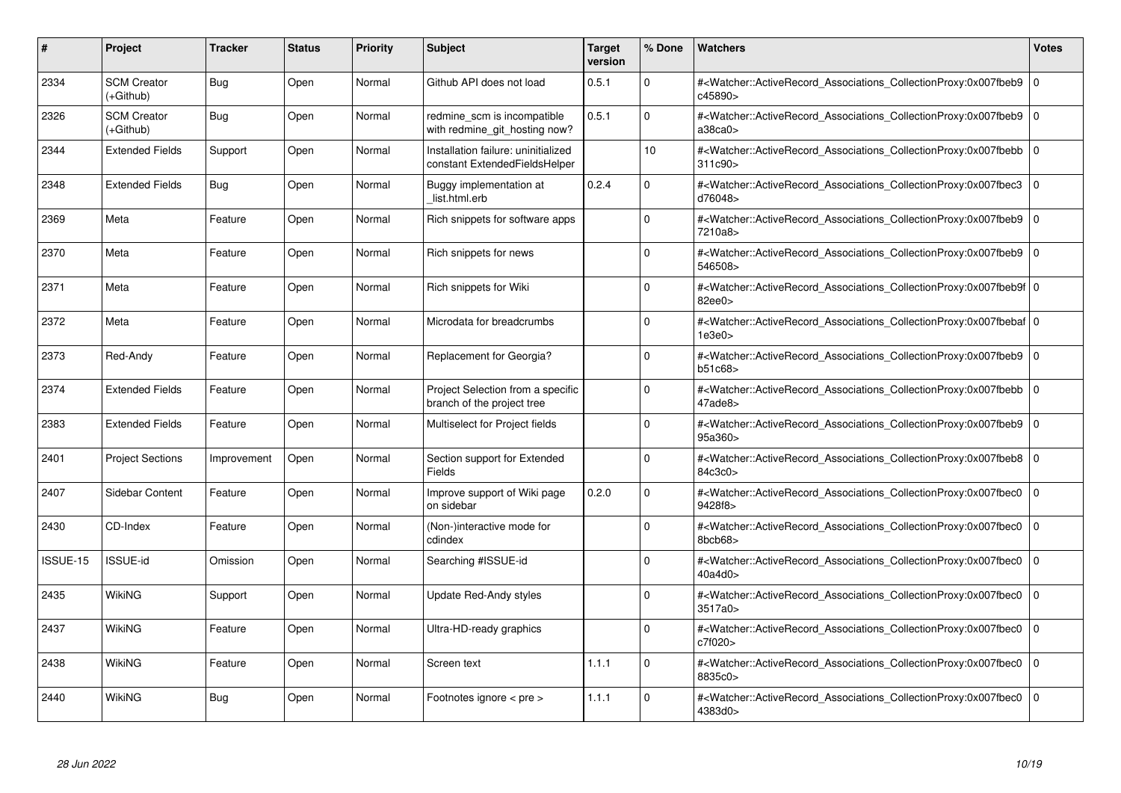| #        | Project                         | Tracker     | <b>Status</b> | <b>Priority</b> | <b>Subject</b>                                                       | <b>Target</b><br>version | % Done   | <b>Watchers</b>                                                                                                                                          | <b>Votes</b> |
|----------|---------------------------------|-------------|---------------|-----------------|----------------------------------------------------------------------|--------------------------|----------|----------------------------------------------------------------------------------------------------------------------------------------------------------|--------------|
| 2334     | <b>SCM Creator</b><br>(+Github) | <b>Bug</b>  | Open          | Normal          | Github API does not load                                             | 0.5.1                    | $\Omega$ | # <watcher::activerecord_associations_collectionproxy:0x007fbeb9<br>c45890&gt;</watcher::activerecord_associations_collectionproxy:0x007fbeb9<br>        | $\mathbf 0$  |
| 2326     | <b>SCM Creator</b><br>(+Github) | <b>Bug</b>  | Open          | Normal          | redmine scm is incompatible<br>with redmine_git_hosting now?         | 0.5.1                    | $\Omega$ | # <watcher::activerecord_associations_collectionproxy:0x007fbeb9 0<br="">a38ca0</watcher::activerecord_associations_collectionproxy:0x007fbeb9>          |              |
| 2344     | <b>Extended Fields</b>          | Support     | Open          | Normal          | Installation failure: uninitialized<br>constant ExtendedFieldsHelper |                          | 10       | # <watcher::activerecord associations="" collectionproxy:0x007fbebb<br="">311c90&gt;</watcher::activerecord>                                             | $\mathbf{0}$ |
| 2348     | <b>Extended Fields</b>          | <b>Bug</b>  | Open          | Normal          | Buggy implementation at<br>list.html.erb                             | 0.2.4                    | $\Omega$ | # <watcher::activerecord_associations_collectionproxy:0x007fbec3 0<br="">d76048&gt;</watcher::activerecord_associations_collectionproxy:0x007fbec3>      |              |
| 2369     | Meta                            | Feature     | Open          | Normal          | Rich snippets for software apps                                      |                          | $\Omega$ | # <watcher::activerecord associations="" collectionproxy:0x007fbeb9<br="">7210a8&gt;</watcher::activerecord>                                             | $\mathbf 0$  |
| 2370     | Meta                            | Feature     | Open          | Normal          | Rich snippets for news                                               |                          | $\Omega$ | # <watcher::activerecord associations="" collectionproxy:0x007fbeb9=""  <br="">546508&gt;</watcher::activerecord>                                        | $\mathbf{0}$ |
| 2371     | Meta                            | Feature     | Open          | Normal          | Rich snippets for Wiki                                               |                          | $\Omega$ | # <watcher::activerecord_associations_collectionproxy:0x007fbeb9f 0<br=""  ="">82ee0</watcher::activerecord_associations_collectionproxy:0x007fbeb9f>    |              |
| 2372     | Meta                            | Feature     | Open          | Normal          | Microdata for breadcrumbs                                            |                          | $\Omega$ | # <watcher::activerecord_associations_collectionproxy:0x007fbebaf 0<br=""  ="">1e3e0</watcher::activerecord_associations_collectionproxy:0x007fbebaf>    |              |
| 2373     | Red-Andy                        | Feature     | Open          | Normal          | Replacement for Georgia?                                             |                          | $\Omega$ | # <watcher::activerecord associations="" collectionproxy:0x007fbeb9=""  <br="">b51c68&gt;</watcher::activerecord>                                        | $\mathbf 0$  |
| 2374     | <b>Extended Fields</b>          | Feature     | Open          | Normal          | Project Selection from a specific<br>branch of the project tree      |                          | $\Omega$ | # <watcher::activerecord 0<br="" associations="" collectionproxy:0x007fbebb=""  ="">47ade8&gt;</watcher::activerecord>                                   |              |
| 2383     | <b>Extended Fields</b>          | Feature     | Open          | Normal          | Multiselect for Project fields                                       |                          | $\Omega$ | # <watcher::activerecord_associations_collectionproxy:0x007fbeb9 0<br=""  ="">95a360&gt;</watcher::activerecord_associations_collectionproxy:0x007fbeb9> |              |
| 2401     | <b>Project Sections</b>         | Improvement | Open          | Normal          | Section support for Extended<br>Fields                               |                          | $\Omega$ | # <watcher::activerecord_associations_collectionproxy:0x007fbeb8  <br="">84c3c0&gt;</watcher::activerecord_associations_collectionproxy:0x007fbeb8>      | $\mathbf 0$  |
| 2407     | Sidebar Content                 | Feature     | Open          | Normal          | Improve support of Wiki page<br>on sidebar                           | 0.2.0                    | $\Omega$ | # <watcher::activerecord associations="" collectionproxy:0x007fbec0<br="">9428f8&gt;</watcher::activerecord>                                             | $\mathbf 0$  |
| 2430     | CD-Index                        | Feature     | Open          | Normal          | (Non-)interactive mode for<br>cdindex                                |                          | $\Omega$ | # <watcher::activerecord_associations_collectionproxy:0x007fbec0<br>8bcb68&gt;</watcher::activerecord_associations_collectionproxy:0x007fbec0<br>        | $\mathbf 0$  |
| ISSUE-15 | <b>ISSUE-id</b>                 | Omission    | Open          | Normal          | Searching #ISSUE-id                                                  |                          | $\Omega$ | # <watcher::activerecord 0<br="" associations="" collectionproxy:0x007fbec0=""  ="">40a4d0&gt;</watcher::activerecord>                                   |              |
| 2435     | WikiNG                          | Support     | Open          | Normal          | Update Red-Andy styles                                               |                          | $\Omega$ | # <watcher::activerecord associations="" collectionproxy:0x007fbec0<br="">3517a0 &gt;</watcher::activerecord>                                            | $\mathbf 0$  |
| 2437     | WikiNG                          | Feature     | Open          | Normal          | Ultra-HD-ready graphics                                              |                          | $\Omega$ | # <watcher::activerecord associations="" collectionproxy:0x007fbec0<br="">c7f020&gt;</watcher::activerecord>                                             | $\mathbf 0$  |
| 2438     | WikiNG                          | Feature     | Open          | Normal          | Screen text                                                          | 1.1.1                    | $\Omega$ | # <watcher::activerecord associations="" collectionproxy:0x007fbec0<br="">8835c0&gt;</watcher::activerecord>                                             | $\mathbf 0$  |
| 2440     | WikiNG                          | Bug         | Open          | Normal          | Footnotes ignore < pre >                                             | 1.1.1                    | $\Omega$ | # <watcher::activerecord_associations_collectionproxy:0x007fbec0 0<br=""  ="">4383d0&gt;</watcher::activerecord_associations_collectionproxy:0x007fbec0> |              |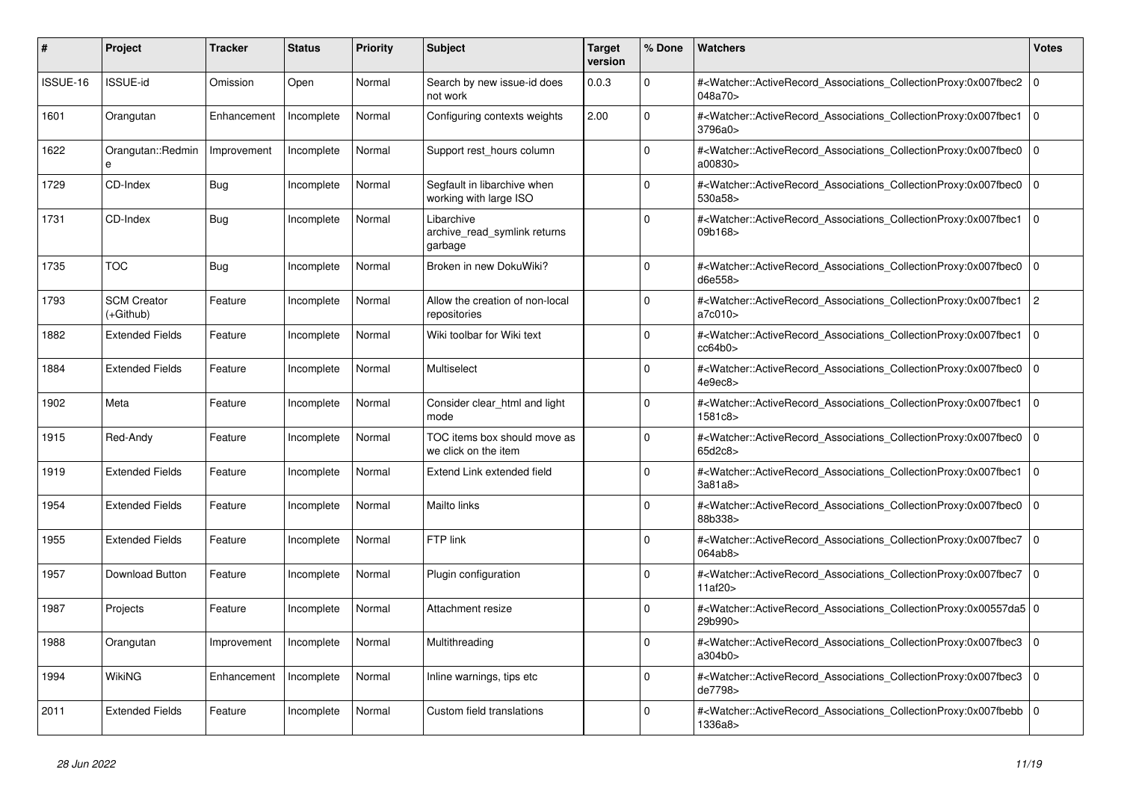| #        | Project                         | <b>Tracker</b> | <b>Status</b> | <b>Priority</b> | <b>Subject</b>                                        | <b>Target</b><br>version | % Done       | Watchers                                                                                                                                                 | <b>Votes</b>   |
|----------|---------------------------------|----------------|---------------|-----------------|-------------------------------------------------------|--------------------------|--------------|----------------------------------------------------------------------------------------------------------------------------------------------------------|----------------|
| ISSUE-16 | ISSUE-id                        | Omission       | Open          | Normal          | Search by new issue-id does<br>not work               | 0.0.3                    | $\Omega$     | # <watcher::activerecord_associations_collectionproxy:0x007fbec2<br>048a70&gt;</watcher::activerecord_associations_collectionproxy:0x007fbec2<br>        | $\overline{0}$ |
| 1601     | Orangutan                       | Enhancement    | Incomplete    | Normal          | Configuring contexts weights                          | 2.00                     | $\Omega$     | # <watcher::activerecord_associations_collectionproxy:0x007fbec1<br>3796a0&gt;</watcher::activerecord_associations_collectionproxy:0x007fbec1<br>        | $\overline{0}$ |
| 1622     | Orangutan::Redmin<br>e          | Improvement    | Incomplete    | Normal          | Support rest hours column                             |                          | $\Omega$     | # <watcher::activerecord_associations_collectionproxy:0x007fbec0<br>a00830&gt;</watcher::activerecord_associations_collectionproxy:0x007fbec0<br>        | l 0            |
| 1729     | CD-Index                        | Bug            | Incomplete    | Normal          | Segfault in libarchive when<br>working with large ISO |                          | $\Omega$     | # <watcher::activerecord_associations_collectionproxy:0x007fbec0<br>530a58&gt;</watcher::activerecord_associations_collectionproxy:0x007fbec0<br>        | $\Omega$       |
| 1731     | CD-Index                        | Bug            | Incomplete    | Normal          | Libarchive<br>archive read symlink returns<br>garbage |                          | $\mathbf 0$  | # <watcher::activerecord_associations_collectionproxy:0x007fbec1<br>09b168&gt;</watcher::activerecord_associations_collectionproxy:0x007fbec1<br>        | l o            |
| 1735     | <b>TOC</b>                      | Bug            | Incomplete    | Normal          | Broken in new DokuWiki?                               |                          | $\Omega$     | # <watcher::activerecord associations="" collectionproxy:0x007fbec0<br="">d6e558&gt;</watcher::activerecord>                                             | $\overline{0}$ |
| 1793     | <b>SCM Creator</b><br>(+Github) | Feature        | Incomplete    | Normal          | Allow the creation of non-local<br>repositories       |                          | $\Omega$     | # <watcher::activerecord_associations_collectionproxy:0x007fbec1<br>a7c010&gt;</watcher::activerecord_associations_collectionproxy:0x007fbec1<br>        | $\overline{2}$ |
| 1882     | <b>Extended Fields</b>          | Feature        | Incomplete    | Normal          | Wiki toolbar for Wiki text                            |                          | $\Omega$     | # <watcher::activerecord_associations_collectionproxy:0x007fbec1<br>cc64b0&gt;</watcher::activerecord_associations_collectionproxy:0x007fbec1<br>        | $\overline{0}$ |
| 1884     | <b>Extended Fields</b>          | Feature        | Incomplete    | Normal          | Multiselect                                           |                          | $\mathbf 0$  | # <watcher::activerecord_associations_collectionproxy:0x007fbec0<br>4e9ec8&gt;</watcher::activerecord_associations_collectionproxy:0x007fbec0<br>        | $\mathbf 0$    |
| 1902     | Meta                            | Feature        | Incomplete    | Normal          | Consider clear_html and light<br>mode                 |                          | $\Omega$     | # <watcher::activerecord_associations_collectionproxy:0x007fbec1<br>1581c8&gt;</watcher::activerecord_associations_collectionproxy:0x007fbec1<br>        | $\Omega$       |
| 1915     | Red-Andy                        | Feature        | Incomplete    | Normal          | TOC items box should move as<br>we click on the item  |                          | $\Omega$     | # <watcher::activerecord associations="" collectionproxy:0x007fbec0<br="">65d2c8&gt;</watcher::activerecord>                                             | $\Omega$       |
| 1919     | <b>Extended Fields</b>          | Feature        | Incomplete    | Normal          | Extend Link extended field                            |                          | $\mathbf 0$  | # <watcher::activerecord associations="" collectionproxy:0x007fbec1<br="">3a81a8</watcher::activerecord>                                                 | 0              |
| 1954     | <b>Extended Fields</b>          | Feature        | Incomplete    | Normal          | Mailto links                                          |                          | 0            | # <watcher::activerecord_associations_collectionproxy:0x007fbec0<br>88b338&gt;</watcher::activerecord_associations_collectionproxy:0x007fbec0<br>        | $\Omega$       |
| 1955     | <b>Extended Fields</b>          | Feature        | Incomplete    | Normal          | FTP link                                              |                          | $\Omega$     | # <watcher::activerecord associations="" collectionproxy:0x007fbec7<br="">064ab8&gt;</watcher::activerecord>                                             | $\overline{0}$ |
| 1957     | Download Button                 | Feature        | Incomplete    | Normal          | Plugin configuration                                  |                          | $\Omega$     | # <watcher::activerecord_associations_collectionproxy:0x007fbec7<br>11af20&gt;</watcher::activerecord_associations_collectionproxy:0x007fbec7<br>        | $\overline{0}$ |
| 1987     | Projects                        | Feature        | Incomplete    | Normal          | Attachment resize                                     |                          | $\mathbf{0}$ | # <watcher::activerecord_associations_collectionproxy:0x00557da5 0<br=""  ="">29b990&gt;</watcher::activerecord_associations_collectionproxy:0x00557da5> |                |
| 1988     | Orangutan                       | Improvement    | Incomplete    | Normal          | Multithreading                                        |                          | $\Omega$     | # <watcher::activerecord_associations_collectionproxy:0x007fbec3<br>a304b0&gt;</watcher::activerecord_associations_collectionproxy:0x007fbec3<br>        | $\overline{0}$ |
| 1994     | WikiNG                          | Enhancement    | Incomplete    | Normal          | Inline warnings, tips etc                             |                          | $\Omega$     | # <watcher::activerecord associations="" collectionproxy:0x007fbec3<br="">de7798&gt;</watcher::activerecord>                                             | $\Omega$       |
| 2011     | <b>Extended Fields</b>          | Feature        | Incomplete    | Normal          | Custom field translations                             |                          | $\Omega$     | # <watcher::activerecord_associations_collectionproxy:0x007fbebb 0<br="">1336a8&gt;</watcher::activerecord_associations_collectionproxy:0x007fbebb>      |                |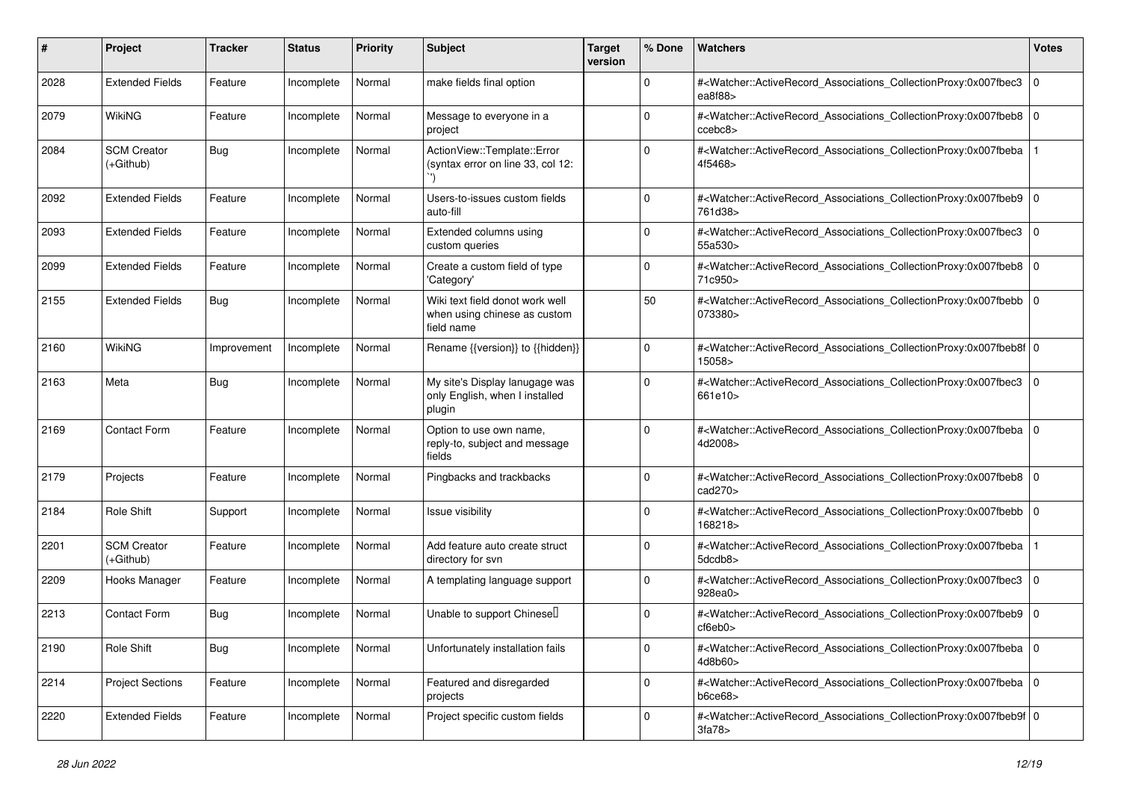| #    | Project                           | Tracker     | <b>Status</b> | <b>Priority</b> | <b>Subject</b>                                                                | <b>Target</b><br>version | % Done      | Watchers                                                                                                                                                  | <b>Votes</b> |
|------|-----------------------------------|-------------|---------------|-----------------|-------------------------------------------------------------------------------|--------------------------|-------------|-----------------------------------------------------------------------------------------------------------------------------------------------------------|--------------|
| 2028 | <b>Extended Fields</b>            | Feature     | Incomplete    | Normal          | make fields final option                                                      |                          | $\mathbf 0$ | # <watcher::activerecord_associations_collectionproxy:0x007fbec3<br>ea<math>868</math></watcher::activerecord_associations_collectionproxy:0x007fbec3<br> | l 0          |
| 2079 | WikiNG                            | Feature     | Incomplete    | Normal          | Message to everyone in a<br>project                                           |                          | $\Omega$    | # <watcher::activerecord_associations_collectionproxy:0x007fbeb8 0<br="">ccebc8&gt;</watcher::activerecord_associations_collectionproxy:0x007fbeb8>       |              |
| 2084 | <b>SCM Creator</b><br>$(+Github)$ | Bug         | Incomplete    | Normal          | ActionView::Template::Error<br>(syntax error on line 33, col 12:              |                          | $\Omega$    | # <watcher::activerecord_associations_collectionproxy:0x007fbeba<br>4f5468&gt;</watcher::activerecord_associations_collectionproxy:0x007fbeba<br>         |              |
| 2092 | <b>Extended Fields</b>            | Feature     | Incomplete    | Normal          | Users-to-issues custom fields<br>auto-fill                                    |                          | $\mathbf 0$ | # <watcher::activerecord_associations_collectionproxy:0x007fbeb9 0<br="">761d38&gt;</watcher::activerecord_associations_collectionproxy:0x007fbeb9>       |              |
| 2093 | <b>Extended Fields</b>            | Feature     | Incomplete    | Normal          | Extended columns using<br>custom queries                                      |                          | $\Omega$    | # <watcher::activerecord_associations_collectionproxy:0x007fbec3<br>55a530&gt;</watcher::activerecord_associations_collectionproxy:0x007fbec3<br>         | 0            |
| 2099 | <b>Extended Fields</b>            | Feature     | Incomplete    | Normal          | Create a custom field of type<br>'Category'                                   |                          | $\mathbf 0$ | # <watcher::activerecord_associations_collectionproxy:0x007fbeb8 0<br="">71c950&gt;</watcher::activerecord_associations_collectionproxy:0x007fbeb8>       |              |
| 2155 | <b>Extended Fields</b>            | <b>Bug</b>  | Incomplete    | Normal          | Wiki text field donot work well<br>when using chinese as custom<br>field name |                          | 50          | # <watcher::activerecord_associations_collectionproxy:0x007fbebb 0<br="">073380&gt;</watcher::activerecord_associations_collectionproxy:0x007fbebb>       |              |
| 2160 | WikiNG                            | Improvement | Incomplete    | Normal          | Rename {{version}} to {{hidden}}                                              |                          | $\mathbf 0$ | # <watcher::activerecord_associations_collectionproxy:0x007fbeb8f 0<br="">15058&gt;</watcher::activerecord_associations_collectionproxy:0x007fbeb8f>      |              |
| 2163 | Meta                              | <b>Bug</b>  | Incomplete    | Normal          | My site's Display lanugage was<br>only English, when I installed<br>plugin    |                          | $\Omega$    | # <watcher::activerecord_associations_collectionproxy:0x007fbec3 0<br="">661e10&gt;</watcher::activerecord_associations_collectionproxy:0x007fbec3>       |              |
| 2169 | <b>Contact Form</b>               | Feature     | Incomplete    | Normal          | Option to use own name,<br>reply-to, subject and message<br>fields            |                          | $\Omega$    | # <watcher::activerecord_associations_collectionproxy:0x007fbeba 0<br="">4d2008&gt;</watcher::activerecord_associations_collectionproxy:0x007fbeba>       |              |
| 2179 | Projects                          | Feature     | Incomplete    | Normal          | Pingbacks and trackbacks                                                      |                          | $\Omega$    | # <watcher::activerecord_associations_collectionproxy:0x007fbeb8 0<br="">cad270&gt;</watcher::activerecord_associations_collectionproxy:0x007fbeb8>       |              |
| 2184 | <b>Role Shift</b>                 | Support     | Incomplete    | Normal          | Issue visibility                                                              |                          | $\Omega$    | # <watcher::activerecord_associations_collectionproxy:0x007fbebb 0<br="">168218&gt;</watcher::activerecord_associations_collectionproxy:0x007fbebb>       |              |
| 2201 | <b>SCM Creator</b><br>$(+Github)$ | Feature     | Incomplete    | Normal          | Add feature auto create struct<br>directory for svn                           |                          | $\mathbf 0$ | # <watcher::activerecord_associations_collectionproxy:0x007fbeba<br>5dcdb8&gt;</watcher::activerecord_associations_collectionproxy:0x007fbeba<br>         |              |
| 2209 | Hooks Manager                     | Feature     | Incomplete    | Normal          | A templating language support                                                 |                          | $\mathbf 0$ | # <watcher::activerecord_associations_collectionproxy:0x007fbec3<br>928ea0&gt;</watcher::activerecord_associations_collectionproxy:0x007fbec3<br>         | l 0          |
| 2213 | <b>Contact Form</b>               | <b>Bug</b>  | Incomplete    | Normal          | Unable to support Chinesel                                                    |                          | $\Omega$    | # <watcher::activerecord_associations_collectionproxy:0x007fbeb9 0<br=""  ="">cf6eb0&gt;</watcher::activerecord_associations_collectionproxy:0x007fbeb9>  |              |
| 2190 | Role Shift                        | <b>Bug</b>  | Incomplete    | Normal          | Unfortunately installation fails                                              |                          | 0           | # <watcher::activerecord_associations_collectionproxy:0x007fbeba 0<br=""  ="">4d8b60&gt;</watcher::activerecord_associations_collectionproxy:0x007fbeba>  |              |
| 2214 | <b>Project Sections</b>           | Feature     | Incomplete    | Normal          | Featured and disregarded<br>projects                                          |                          | $\mathsf 0$ | # <watcher::activerecord_associations_collectionproxy:0x007fbeba 0<br="">b6ce68</watcher::activerecord_associations_collectionproxy:0x007fbeba>           |              |
| 2220 | <b>Extended Fields</b>            | Feature     | Incomplete    | Normal          | Project specific custom fields                                                |                          | $\mathbf 0$ | # <watcher::activerecord_associations_collectionproxy:0x007fbeb9f 0<br="">3fa78</watcher::activerecord_associations_collectionproxy:0x007fbeb9f>          |              |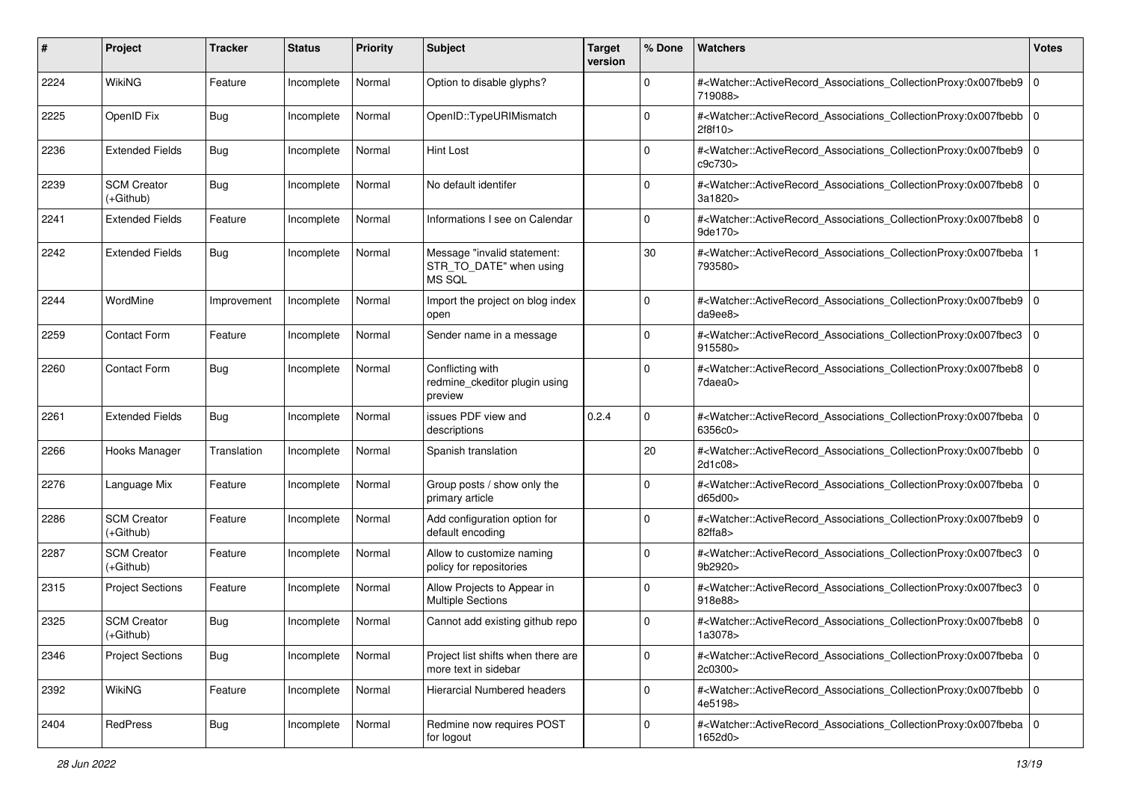| #    | Project                           | <b>Tracker</b> | <b>Status</b> | <b>Priority</b> | <b>Subject</b>                                                   | <b>Target</b><br>version | % Done      | <b>Watchers</b>                                                                                                                                          | <b>Votes</b> |
|------|-----------------------------------|----------------|---------------|-----------------|------------------------------------------------------------------|--------------------------|-------------|----------------------------------------------------------------------------------------------------------------------------------------------------------|--------------|
| 2224 | WikiNG                            | Feature        | Incomplete    | Normal          | Option to disable glyphs?                                        |                          | $\mathbf 0$ | # <watcher::activerecord_associations_collectionproxy:0x007fbeb9<br>719088&gt;</watcher::activerecord_associations_collectionproxy:0x007fbeb9<br>        | l O          |
| 2225 | OpenID Fix                        | <b>Bug</b>     | Incomplete    | Normal          | OpenID::TypeURIMismatch                                          |                          | $\mathbf 0$ | # <watcher::activerecord_associations_collectionproxy:0x007fbebb 0<br=""  ="">2f8f10&gt;</watcher::activerecord_associations_collectionproxy:0x007fbebb> |              |
| 2236 | <b>Extended Fields</b>            | <b>Bug</b>     | Incomplete    | Normal          | Hint Lost                                                        |                          | 0           | # <watcher::activerecord_associations_collectionproxy:0x007fbeb9 0<br="">c9c730&gt;</watcher::activerecord_associations_collectionproxy:0x007fbeb9>      |              |
| 2239 | <b>SCM Creator</b><br>$(+Github)$ | <b>Bug</b>     | Incomplete    | Normal          | No default identifer                                             |                          | 0           | # <watcher::activerecord_associations_collectionproxy:0x007fbeb8 0<br="">3a1820&gt;</watcher::activerecord_associations_collectionproxy:0x007fbeb8>      |              |
| 2241 | <b>Extended Fields</b>            | Feature        | Incomplete    | Normal          | Informations I see on Calendar                                   |                          | $\Omega$    | # <watcher::activerecord_associations_collectionproxy:0x007fbeb8 0<br="">9de170&gt;</watcher::activerecord_associations_collectionproxy:0x007fbeb8>      |              |
| 2242 | <b>Extended Fields</b>            | <b>Bug</b>     | Incomplete    | Normal          | Message "invalid statement:<br>STR_TO_DATE" when using<br>MS SQL |                          | 30          | # <watcher::activerecord_associations_collectionproxy:0x007fbeba<br>793580&gt;</watcher::activerecord_associations_collectionproxy:0x007fbeba<br>        |              |
| 2244 | WordMine                          | Improvement    | Incomplete    | Normal          | Import the project on blog index<br>open                         |                          | 0           | # <watcher::activerecord_associations_collectionproxy:0x007fbeb9 0<br="">da9ee8&gt;</watcher::activerecord_associations_collectionproxy:0x007fbeb9>      |              |
| 2259 | <b>Contact Form</b>               | Feature        | Incomplete    | Normal          | Sender name in a message                                         |                          | $\Omega$    | # <watcher::activerecord_associations_collectionproxy:0x007fbec3<br>915580&gt;</watcher::activerecord_associations_collectionproxy:0x007fbec3<br>        | 0            |
| 2260 | <b>Contact Form</b>               | <b>Bug</b>     | Incomplete    | Normal          | Conflicting with<br>redmine_ckeditor plugin using<br>preview     |                          | $\Omega$    | # <watcher::activerecord_associations_collectionproxy:0x007fbeb8<br>7daea0&gt;</watcher::activerecord_associations_collectionproxy:0x007fbeb8<br>        | l O          |
| 2261 | <b>Extended Fields</b>            | <b>Bug</b>     | Incomplete    | Normal          | issues PDF view and<br>descriptions                              | 0.2.4                    | $\mathbf 0$ | # <watcher::activerecord_associations_collectionproxy:0x007fbeba 0<br=""  ="">6356c0&gt;</watcher::activerecord_associations_collectionproxy:0x007fbeba> |              |
| 2266 | Hooks Manager                     | Translation    | Incomplete    | Normal          | Spanish translation                                              |                          | 20          | # <watcher::activerecord_associations_collectionproxy:0x007fbebb 0<br=""  ="">2d1c08&gt;</watcher::activerecord_associations_collectionproxy:0x007fbebb> |              |
| 2276 | Language Mix                      | Feature        | Incomplete    | Normal          | Group posts / show only the<br>primary article                   |                          | $\Omega$    | # <watcher::activerecord_associations_collectionproxy:0x007fbeba<br>d65d00&gt;</watcher::activerecord_associations_collectionproxy:0x007fbeba<br>        | l O          |
| 2286 | <b>SCM Creator</b><br>$(+Github)$ | Feature        | Incomplete    | Normal          | Add configuration option for<br>default encoding                 |                          | $\Omega$    | # <watcher::activerecord_associations_collectionproxy:0x007fbeb9 0<br=""  ="">82ffa8</watcher::activerecord_associations_collectionproxy:0x007fbeb9>     |              |
| 2287 | <b>SCM Creator</b><br>$(+Github)$ | Feature        | Incomplete    | Normal          | Allow to customize naming<br>policy for repositories             |                          | 0           | # <watcher::activerecord_associations_collectionproxy:0x007fbec3<br>9b2920&gt;</watcher::activerecord_associations_collectionproxy:0x007fbec3<br>        | 0            |
| 2315 | <b>Project Sections</b>           | Feature        | Incomplete    | Normal          | Allow Projects to Appear in<br><b>Multiple Sections</b>          |                          | $\Omega$    | # <watcher::activerecord_associations_collectionproxy:0x007fbec3<br>918e88&gt;</watcher::activerecord_associations_collectionproxy:0x007fbec3<br>        | 0            |
| 2325 | <b>SCM Creator</b><br>(+Github)   | <b>Bug</b>     | Incomplete    | Normal          | Cannot add existing github repo                                  |                          | 0           | # <watcher::activerecord_associations_collectionproxy:0x007fbeb8 0<br="">1a3078&gt;</watcher::activerecord_associations_collectionproxy:0x007fbeb8>      |              |
| 2346 | <b>Project Sections</b>           | <b>Bug</b>     | Incomplete    | Normal          | Project list shifts when there are<br>more text in sidebar       |                          | $\mathbf 0$ | # <watcher::activerecord_associations_collectionproxy:0x007fbeba 0<br=""  ="">2c0300&gt;</watcher::activerecord_associations_collectionproxy:0x007fbeba> |              |
| 2392 | WikiNG                            | Feature        | Incomplete    | Normal          | Hierarcial Numbered headers                                      |                          | $\mathbf 0$ | # <watcher::activerecord_associations_collectionproxy:0x007fbebb 0<br="">4e5198&gt;</watcher::activerecord_associations_collectionproxy:0x007fbebb>      |              |
| 2404 | RedPress                          | <b>Bug</b>     | Incomplete    | Normal          | Redmine now requires POST<br>for logout                          |                          | $\mathbf 0$ | # <watcher::activerecord_associations_collectionproxy:0x007fbeba 0<br=""  ="">1652d0&gt;</watcher::activerecord_associations_collectionproxy:0x007fbeba> |              |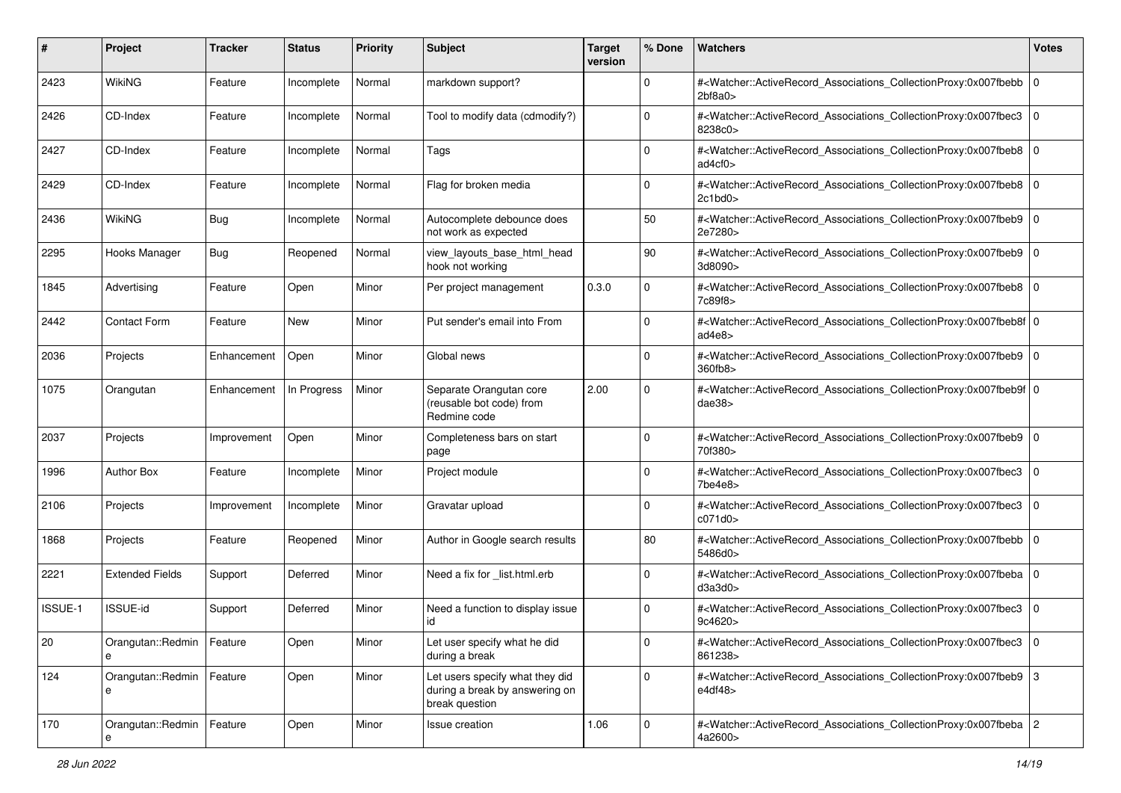| #       | Project                          | <b>Tracker</b> | <b>Status</b> | <b>Priority</b> | <b>Subject</b>                                                                      | <b>Target</b><br>version | % Done      | Watchers                                                                                                                                                 | <b>Votes</b> |
|---------|----------------------------------|----------------|---------------|-----------------|-------------------------------------------------------------------------------------|--------------------------|-------------|----------------------------------------------------------------------------------------------------------------------------------------------------------|--------------|
| 2423    | WikiNG                           | Feature        | Incomplete    | Normal          | markdown support?                                                                   |                          | $\mathbf 0$ | # <watcher::activerecord_associations_collectionproxy:0x007fbebb<br>2b68a0</watcher::activerecord_associations_collectionproxy:0x007fbebb<br>            | 0            |
| 2426    | CD-Index                         | Feature        | Incomplete    | Normal          | Tool to modify data (cdmodify?)                                                     |                          | $\mathbf 0$ | # <watcher::activerecord_associations_collectionproxy:0x007fbec3<br>8238c0&gt;</watcher::activerecord_associations_collectionproxy:0x007fbec3<br>        | 0            |
| 2427    | CD-Index                         | Feature        | Incomplete    | Normal          | Tags                                                                                |                          | 0           | # <watcher::activerecord_associations_collectionproxy:0x007fbeb8 0<br="">ad4cf0&gt;</watcher::activerecord_associations_collectionproxy:0x007fbeb8>      |              |
| 2429    | CD-Index                         | Feature        | Incomplete    | Normal          | Flag for broken media                                                               |                          | 0           | # <watcher::activerecord_associations_collectionproxy:0x007fbeb8<br>2c1bd0</watcher::activerecord_associations_collectionproxy:0x007fbeb8<br>            | l O          |
| 2436    | WikiNG                           | <b>Bug</b>     | Incomplete    | Normal          | Autocomplete debounce does<br>not work as expected                                  |                          | 50          | # <watcher::activerecord 0<br="" associations="" collectionproxy:0x007fbeb9="">2e7280&gt;</watcher::activerecord>                                        |              |
| 2295    | Hooks Manager                    | <b>Bug</b>     | Reopened      | Normal          | view_layouts_base_html_head<br>hook not working                                     |                          | 90          | # <watcher::activerecord_associations_collectionproxy:0x007fbeb9 0<br="">3d8090&gt;</watcher::activerecord_associations_collectionproxy:0x007fbeb9>      |              |
| 1845    | Advertising                      | Feature        | Open          | Minor           | Per project management                                                              | 0.3.0                    | $\Omega$    | # <watcher::activerecord_associations_collectionproxy:0x007fbeb8 0<br=""  ="">7c89f8&gt;</watcher::activerecord_associations_collectionproxy:0x007fbeb8> |              |
| 2442    | <b>Contact Form</b>              | Feature        | New           | Minor           | Put sender's email into From                                                        |                          | $\mathbf 0$ | # <watcher::activerecord_associations_collectionproxy:0x007fbeb8f 0<br="">ad4e8</watcher::activerecord_associations_collectionproxy:0x007fbeb8f>         |              |
| 2036    | Projects                         | Enhancement    | Open          | Minor           | Global news                                                                         |                          | $\Omega$    | # <watcher::activerecord_associations_collectionproxy:0x007fbeb9 0<br="">360fb8&gt;</watcher::activerecord_associations_collectionproxy:0x007fbeb9>      |              |
| 1075    | Orangutan                        | Enhancement    | In Progress   | Minor           | Separate Orangutan core<br>(reusable bot code) from<br>Redmine code                 | 2.00                     | 0           | # <watcher::activerecord_associations_collectionproxy:0x007fbeb9f 0<br="">dae38&gt;</watcher::activerecord_associations_collectionproxy:0x007fbeb9f>     |              |
| 2037    | Projects                         | Improvement    | Open          | Minor           | Completeness bars on start<br>page                                                  |                          | $\Omega$    | # <watcher::activerecord_associations_collectionproxy:0x007fbeb9 0<br="">70f380&gt;</watcher::activerecord_associations_collectionproxy:0x007fbeb9>      |              |
| 1996    | <b>Author Box</b>                | Feature        | Incomplete    | Minor           | Project module                                                                      |                          | $\Omega$    | # <watcher::activerecord_associations_collectionproxy:0x007fbec3<br>7be4e8&gt;</watcher::activerecord_associations_collectionproxy:0x007fbec3<br>        | $\mathbf 0$  |
| 2106    | Projects                         | Improvement    | Incomplete    | Minor           | Gravatar upload                                                                     |                          | 0           | # <watcher::activerecord_associations_collectionproxy:0x007fbec3<br>c071d0&gt;</watcher::activerecord_associations_collectionproxy:0x007fbec3<br>        | 0            |
| 1868    | Projects                         | Feature        | Reopened      | Minor           | Author in Google search results                                                     |                          | 80          | # <watcher::activerecord_associations_collectionproxy:0x007fbebb<br>5486d0&gt;</watcher::activerecord_associations_collectionproxy:0x007fbebb<br>        | 0            |
| 2221    | <b>Extended Fields</b>           | Support        | Deferred      | Minor           | Need a fix for _list.html.erb                                                       |                          | $\Omega$    | # <watcher::activerecord_associations_collectionproxy:0x007fbeba<br>d3a3d0&gt;</watcher::activerecord_associations_collectionproxy:0x007fbeba<br>        | l 0          |
| ISSUE-1 | ISSUE-id                         | Support        | Deferred      | Minor           | Need a function to display issue<br>id                                              |                          | 0           | # <watcher::activerecord_associations_collectionproxy:0x007fbec3<br>9c4620&gt;</watcher::activerecord_associations_collectionproxy:0x007fbec3<br>        | $\Omega$     |
| 20      | Orangutan::Redmin   Feature<br>e |                | Open          | Minor           | Let user specify what he did<br>during a break                                      |                          | 0           | # <watcher::activerecord_associations_collectionproxy:0x007fbec3 0<br="">861238&gt;</watcher::activerecord_associations_collectionproxy:0x007fbec3>      |              |
| 124     | Orangutan::Redmin   Feature      |                | Open          | Minor           | Let users specify what they did<br>during a break by answering on<br>break question |                          | $\mathbf 0$ | # <watcher::activerecord_associations_collectionproxy:0x007fbeb9 3<br="">e4df48&gt;</watcher::activerecord_associations_collectionproxy:0x007fbeb9>      |              |
| 170     | Orangutan::Redmin   Feature<br>e |                | Open          | Minor           | Issue creation                                                                      | 1.06                     | $\mathbf 0$ | # <watcher::activerecord_associations_collectionproxy:0x007fbeba 2<br="">4a2600&gt;</watcher::activerecord_associations_collectionproxy:0x007fbeba>      |              |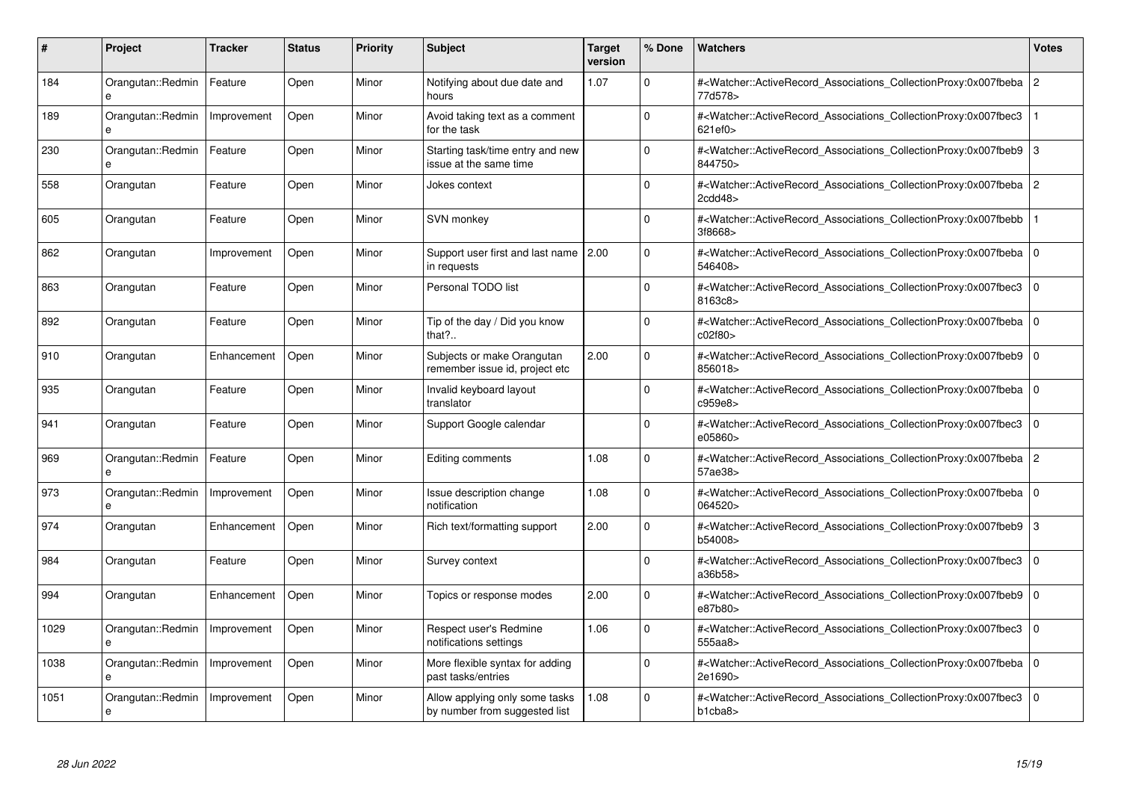| #    | <b>Project</b>                    | Tracker     | <b>Status</b> | <b>Priority</b> | <b>Subject</b>                                                  | <b>Target</b><br>version | % Done   | <b>Watchers</b>                                                                                                                                          | <b>Votes</b> |
|------|-----------------------------------|-------------|---------------|-----------------|-----------------------------------------------------------------|--------------------------|----------|----------------------------------------------------------------------------------------------------------------------------------------------------------|--------------|
| 184  | Orangutan::Redmin<br>$\mathbf{e}$ | Feature     | Open          | Minor           | Notifying about due date and<br>hours                           | 1.07                     | $\Omega$ | # <watcher::activerecord 2<br="" associations="" collectionproxy:0x007fbeba=""  ="">77d578&gt;</watcher::activerecord>                                   |              |
| 189  | Orangutan::Redmin<br>e            | Improvement | Open          | Minor           | Avoid taking text as a comment<br>for the task                  |                          | $\Omega$ | # <watcher::activerecord associations="" collectionproxy:0x007fbec3<br="">621ef0&gt;</watcher::activerecord>                                             |              |
| 230  | Orangutan::Redmin<br>e            | Feature     | Open          | Minor           | Starting task/time entry and new<br>issue at the same time      |                          | $\Omega$ | # <watcher::activerecord_associations_collectionproxy:0x007fbeb9<br>844750&gt;</watcher::activerecord_associations_collectionproxy:0x007fbeb9<br>        | 3            |
| 558  | Orangutan                         | Feature     | Open          | Minor           | Jokes context                                                   |                          | $\Omega$ | # <watcher::activerecord_associations_collectionproxy:0x007fbeba 2<br=""  ="">2cdd48</watcher::activerecord_associations_collectionproxy:0x007fbeba>     |              |
| 605  | Orangutan                         | Feature     | Open          | Minor           | SVN monkey                                                      |                          | $\Omega$ | # <watcher::activerecord_associations_collectionproxy:0x007fbebb<br>3f8668&gt;</watcher::activerecord_associations_collectionproxy:0x007fbebb<br>        |              |
| 862  | Orangutan                         | Improvement | Open          | Minor           | Support user first and last name   2.00<br>in requests          |                          | $\Omega$ | # <watcher::activerecord_associations_collectionproxy:0x007fbeba 0<br=""  ="">546408&gt;</watcher::activerecord_associations_collectionproxy:0x007fbeba> |              |
| 863  | Orangutan                         | Feature     | Open          | Minor           | Personal TODO list                                              |                          | $\Omega$ | # <watcher::activerecord associations="" collectionproxy:0x007fbec3<br="">8163c8&gt;</watcher::activerecord>                                             | $\mathbf 0$  |
| 892  | Orangutan                         | Feature     | Open          | Minor           | Tip of the day / Did you know<br>that $?$                       |                          | $\Omega$ | # <watcher::activerecord_associations_collectionproxy:0x007fbeba 0<br=""  ="">c02f80&gt;</watcher::activerecord_associations_collectionproxy:0x007fbeba> |              |
| 910  | Orangutan                         | Enhancement | Open          | Minor           | Subjects or make Orangutan<br>remember issue id, project etc    | 2.00                     | $\Omega$ | # <watcher::activerecord associations="" collectionproxy:0x007fbeb9=""  <br="">856018&gt;</watcher::activerecord>                                        | $\mathbf 0$  |
| 935  | Orangutan                         | Feature     | Open          | Minor           | Invalid keyboard layout<br>translator                           |                          | $\Omega$ | # <watcher::activerecord 0<br="" associations="" collectionproxy:0x007fbeba=""  ="">c959e8&gt;</watcher::activerecord>                                   |              |
| 941  | Orangutan                         | Feature     | Open          | Minor           | Support Google calendar                                         |                          | $\Omega$ | # <watcher::activerecord_associations_collectionproxy:0x007fbec3<br>e05860&gt;</watcher::activerecord_associations_collectionproxy:0x007fbec3<br>        | $\Omega$     |
| 969  | Orangutan::Redmin<br>e            | Feature     | Open          | Minor           | Editing comments                                                | 1.08                     | $\Omega$ | # <watcher::activerecord_associations_collectionproxy:0x007fbeba 2<br="">57ae38&gt;</watcher::activerecord_associations_collectionproxy:0x007fbeba>      |              |
| 973  | Orangutan::Redmin<br>e            | Improvement | Open          | Minor           | Issue description change<br>notification                        | 1.08                     | $\Omega$ | # <watcher::activerecord 0<br="" associations="" collectionproxy:0x007fbeba=""  ="">064520&gt;</watcher::activerecord>                                   |              |
| 974  | Orangutan                         | Enhancement | Open          | Minor           | Rich text/formatting support                                    | 2.00                     | $\Omega$ | # <watcher::activerecord_associations_collectionproxy:0x007fbeb9<br>b54008&gt;</watcher::activerecord_associations_collectionproxy:0x007fbeb9<br>        | 3            |
| 984  | Orangutan                         | Feature     | Open          | Minor           | Survey context                                                  |                          | $\Omega$ | # <watcher::activerecord associations="" collectionproxy:0x007fbec3<br="">a36b58&gt;</watcher::activerecord>                                             | $\mathbf 0$  |
| 994  | Orangutan                         | Enhancement | Open          | Minor           | Topics or response modes                                        | 2.00                     | $\Omega$ | # <watcher::activerecord_associations_collectionproxy:0x007fbeb9  <br="">e87b80&gt;</watcher::activerecord_associations_collectionproxy:0x007fbeb9>      | $\mathbf 0$  |
| 1029 | Orangutan::Redmin<br>e            | Improvement | Open          | Minor           | Respect user's Redmine<br>notifications settings                | 1.06                     | $\Omega$ | # <watcher::activerecord_associations_collectionproxy:0x007fbec3<br>555aa8&gt;</watcher::activerecord_associations_collectionproxy:0x007fbec3<br>        | $\mathbf 0$  |
| 1038 | Orangutan::Redmin<br>e            | Improvement | Open          | Minor           | More flexible syntax for adding<br>past tasks/entries           |                          | $\Omega$ | # <watcher::activerecord 0<br="" associations="" collectionproxy:0x007fbeba=""  ="">2e1690&gt;</watcher::activerecord>                                   |              |
| 1051 | Orangutan::Redmin<br>e            | Improvement | Open          | Minor           | Allow applying only some tasks<br>by number from suggested list | 1.08                     | $\Omega$ | # <watcher::activerecord associations="" collectionproxy:0x007fbec3<br="">b1cba8&gt;</watcher::activerecord>                                             | $\mathbf 0$  |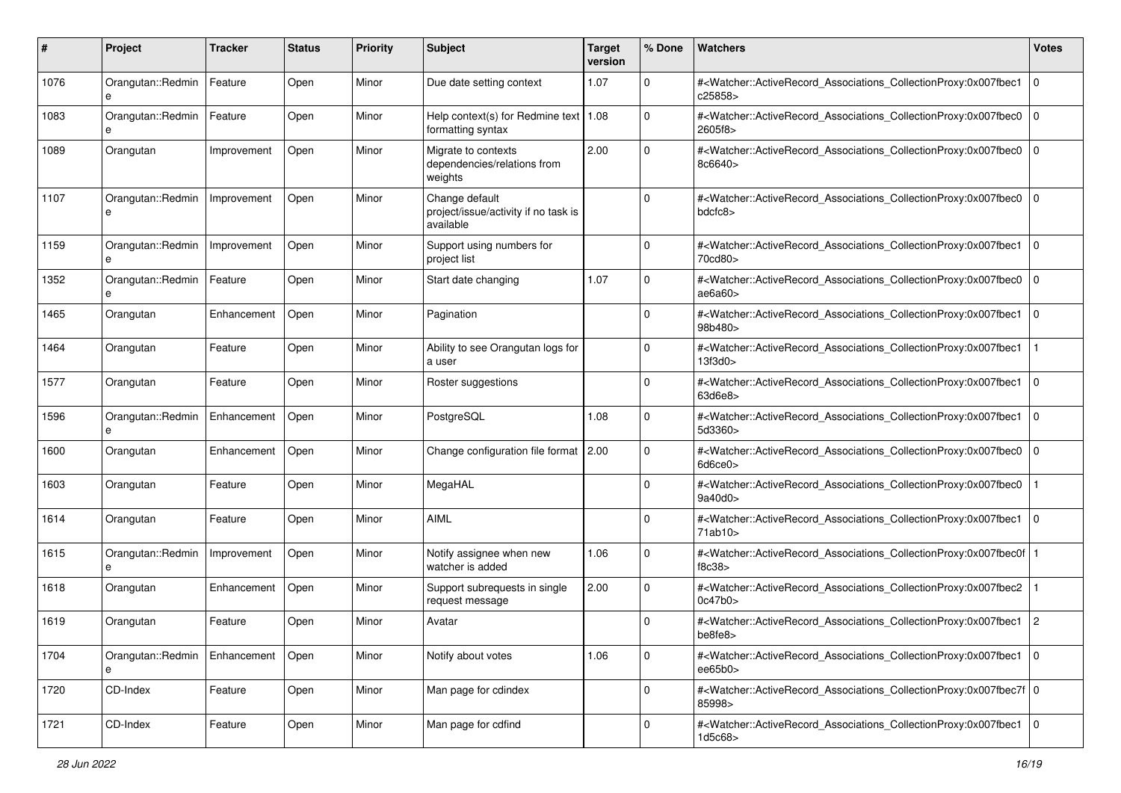| #    | Project                              | Tracker     | <b>Status</b> | <b>Priority</b> | <b>Subject</b>                                                      | <b>Target</b><br>version | % Done         | Watchers                                                                                                                                             | <b>Votes</b>   |
|------|--------------------------------------|-------------|---------------|-----------------|---------------------------------------------------------------------|--------------------------|----------------|------------------------------------------------------------------------------------------------------------------------------------------------------|----------------|
| 1076 | Orangutan::Redmin<br>e               | Feature     | Open          | Minor           | Due date setting context                                            | 1.07                     | $\mathbf 0$    | # <watcher::activerecord_associations_collectionproxy:0x007fbec1<br>c25858&gt;</watcher::activerecord_associations_collectionproxy:0x007fbec1<br>    | $\mathbf 0$    |
| 1083 | Orangutan::Redmin<br>e               | Feature     | Open          | Minor           | Help context(s) for Redmine text   1.08<br>formatting syntax        |                          | 0              | # <watcher::activerecord_associations_collectionproxy:0x007fbec0<br>2605f8&gt;</watcher::activerecord_associations_collectionproxy:0x007fbec0<br>    | $\mathbf 0$    |
| 1089 | Orangutan                            | Improvement | Open          | Minor           | Migrate to contexts<br>dependencies/relations from<br>weights       | 2.00                     | $\overline{0}$ | # <watcher::activerecord_associations_collectionproxy:0x007fbec0<br>8c6640&gt;</watcher::activerecord_associations_collectionproxy:0x007fbec0<br>    | l O            |
| 1107 | Orangutan::Redmin<br>е               | Improvement | Open          | Minor           | Change default<br>project/issue/activity if no task is<br>available |                          | 0              | # <watcher::activerecord_associations_collectionproxy:0x007fbec0<br>bdcfc8&gt;</watcher::activerecord_associations_collectionproxy:0x007fbec0<br>    | l O            |
| 1159 | Orangutan::Redmin<br>e               | Improvement | Open          | Minor           | Support using numbers for<br>project list                           |                          | 0              | # <watcher::activerecord_associations_collectionproxy:0x007fbec1<br>70cd80&gt;</watcher::activerecord_associations_collectionproxy:0x007fbec1<br>    | $\mathbf 0$    |
| 1352 | Orangutan::Redmin<br>e               | Feature     | Open          | Minor           | Start date changing                                                 | 1.07                     | $\Omega$       | # <watcher::activerecord_associations_collectionproxy:0x007fbec0<br>ae6a60&gt;</watcher::activerecord_associations_collectionproxy:0x007fbec0<br>    | $\mathbf 0$    |
| 1465 | Orangutan                            | Enhancement | Open          | Minor           | Pagination                                                          |                          | $\mathbf 0$    | # <watcher::activerecord_associations_collectionproxy:0x007fbec1<br>98b480&gt;</watcher::activerecord_associations_collectionproxy:0x007fbec1<br>    | $\mathbf 0$    |
| 1464 | Orangutan                            | Feature     | Open          | Minor           | Ability to see Orangutan logs for<br>a user                         |                          | $\Omega$       | # <watcher::activerecord_associations_collectionproxy:0x007fbec1<br>13f3d0&gt;</watcher::activerecord_associations_collectionproxy:0x007fbec1<br>    |                |
| 1577 | Orangutan                            | Feature     | Open          | Minor           | Roster suggestions                                                  |                          | 0              | # <watcher::activerecord_associations_collectionproxy:0x007fbec1<br>63d6e8&gt;</watcher::activerecord_associations_collectionproxy:0x007fbec1<br>    | $\mathbf 0$    |
| 1596 | Orangutan::Redmin<br>e               | Enhancement | Open          | Minor           | PostgreSQL                                                          | 1.08                     | 0              | # <watcher::activerecord_associations_collectionproxy:0x007fbec1<br>5d3360&gt;</watcher::activerecord_associations_collectionproxy:0x007fbec1<br>    | $\Omega$       |
| 1600 | Orangutan                            | Enhancement | Open          | Minor           | Change configuration file format   2.00                             |                          | $\mathbf 0$    | # <watcher::activerecord_associations_collectionproxy:0x007fbec0<br>6d6ce0</watcher::activerecord_associations_collectionproxy:0x007fbec0<br>        | $\mathbf 0$    |
| 1603 | Orangutan                            | Feature     | Open          | Minor           | MegaHAL                                                             |                          | $\Omega$       | # <watcher::activerecord_associations_collectionproxy:0x007fbec0<br>9a40d0&gt;</watcher::activerecord_associations_collectionproxy:0x007fbec0<br>    |                |
| 1614 | Orangutan                            | Feature     | Open          | Minor           | <b>AIML</b>                                                         |                          | $\Omega$       | # <watcher::activerecord_associations_collectionproxy:0x007fbec1<br>71ab10&gt;</watcher::activerecord_associations_collectionproxy:0x007fbec1<br>    | $\Omega$       |
| 1615 | Orangutan::Redmin<br>e               | Improvement | Open          | Minor           | Notify assignee when new<br>watcher is added                        | 1.06                     | $\mathbf 0$    | # <watcher::activerecord_associations_collectionproxy:0x007fbec0f<br>f8c38</watcher::activerecord_associations_collectionproxy:0x007fbec0f<br>       |                |
| 1618 | Orangutan                            | Enhancement | Open          | Minor           | Support subrequests in single<br>request message                    | 2.00                     | $\mathbf 0$    | # <watcher::activerecord_associations_collectionproxy:0x007fbec2<br>0c47b0</watcher::activerecord_associations_collectionproxy:0x007fbec2<br>        |                |
| 1619 | Orangutan                            | Feature     | Open          | Minor           | Avatar                                                              |                          | 0              | # <watcher::activerecord_associations_collectionproxy:0x007fbec1<br>be8fe8&gt;</watcher::activerecord_associations_collectionproxy:0x007fbec1<br>    | $\overline{2}$ |
| 1704 | Orangutan::Redmin   Enhancement<br>e |             | Open          | Minor           | Notify about votes                                                  | 1.06                     | $\mathbf 0$    | # <watcher::activerecord_associations_collectionproxy:0x007fbec1<br>ee65b0&gt;</watcher::activerecord_associations_collectionproxy:0x007fbec1<br>    | l O            |
| 1720 | CD-Index                             | Feature     | Open          | Minor           | Man page for cdindex                                                |                          | $\mathbf 0$    | # <watcher::activerecord_associations_collectionproxy:0x007fbec7f 0<br="">85998&gt;</watcher::activerecord_associations_collectionproxy:0x007fbec7f> |                |
| 1721 | CD-Index                             | Feature     | Open          | Minor           | Man page for cdfind                                                 |                          | $\mathbf 0$    | # <watcher::activerecord associations="" collectionproxy:0x007fbec1<br="">1d5c68&gt;</watcher::activerecord>                                         | l O            |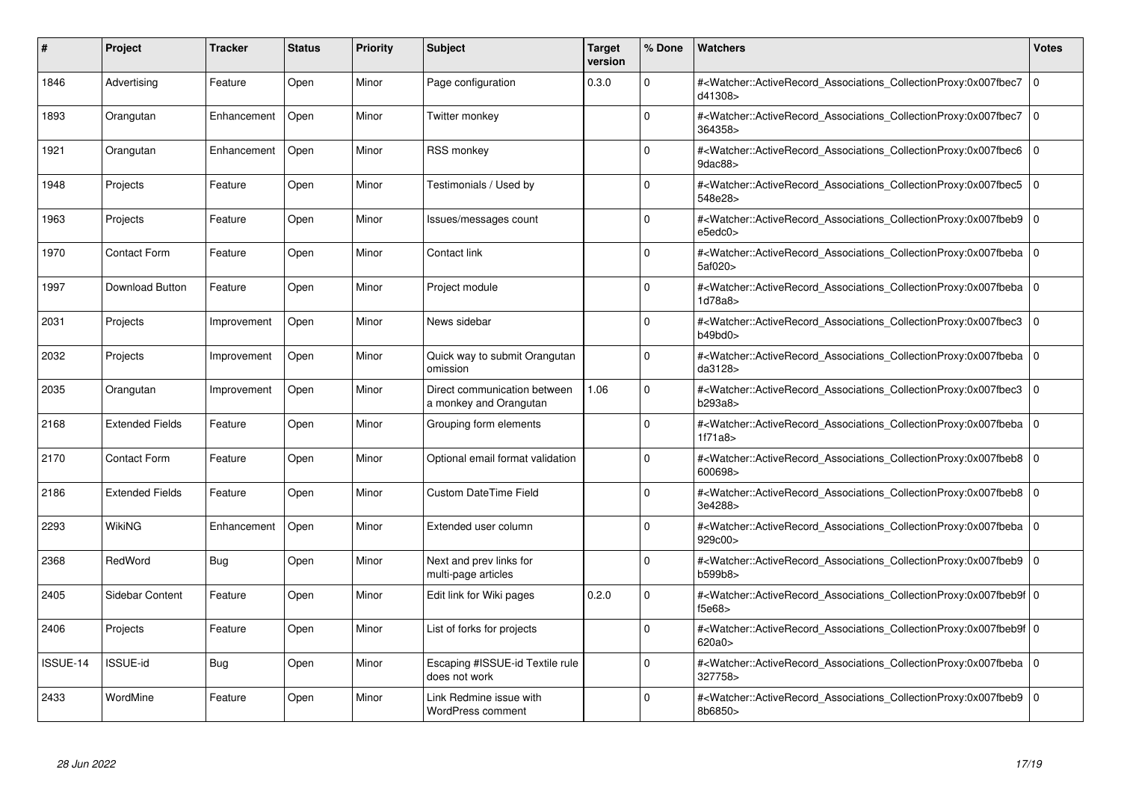| #        | <b>Project</b>         | Tracker     | <b>Status</b> | <b>Priority</b> | <b>Subject</b>                                         | <b>Target</b><br>version | % Done   | <b>Watchers</b>                                                                                                                                           | <b>Votes</b> |
|----------|------------------------|-------------|---------------|-----------------|--------------------------------------------------------|--------------------------|----------|-----------------------------------------------------------------------------------------------------------------------------------------------------------|--------------|
| 1846     | Advertising            | Feature     | Open          | Minor           | Page configuration                                     | 0.3.0                    | $\Omega$ | # <watcher::activerecord associations="" collectionproxy:0x007fbec7<br="">d41308&gt;</watcher::activerecord>                                              | $\mathbf 0$  |
| 1893     | Orangutan              | Enhancement | Open          | Minor           | Twitter monkey                                         |                          | $\Omega$ | # <watcher::activerecord associations="" collectionproxy:0x007fbec7<br="">364358&gt;</watcher::activerecord>                                              | $\mathbf 0$  |
| 1921     | Orangutan              | Enhancement | Open          | Minor           | <b>RSS monkey</b>                                      |                          | $\Omega$ | # <watcher::activerecord_associations_collectionproxy:0x007fbec6<br>9dac88&gt;</watcher::activerecord_associations_collectionproxy:0x007fbec6<br>         | $\Omega$     |
| 1948     | Projects               | Feature     | Open          | Minor           | Testimonials / Used by                                 |                          | $\Omega$ | # <watcher::activerecord_associations_collectionproxy:0x007fbec5 0<br="">548e28&gt;</watcher::activerecord_associations_collectionproxy:0x007fbec5>       |              |
| 1963     | Projects               | Feature     | Open          | Minor           | lssues/messages count                                  |                          | $\Omega$ | # <watcher::activerecord_associations_collectionproxy:0x007fbeb9<br>e5edc0&gt;</watcher::activerecord_associations_collectionproxy:0x007fbeb9<br>         | $\mathbf 0$  |
| 1970     | <b>Contact Form</b>    | Feature     | Open          | Minor           | Contact link                                           |                          | $\Omega$ | # <watcher::activerecord_associations_collectionproxy:0x007fbeba 0<br=""  ="">5af020&gt;</watcher::activerecord_associations_collectionproxy:0x007fbeba>  |              |
| 1997     | Download Button        | Feature     | Open          | Minor           | Project module                                         |                          | $\Omega$ | # <watcher::activerecord associations="" collectionproxy:0x007fbeba<br="">1d78a8&gt;</watcher::activerecord>                                              | $\mathbf 0$  |
| 2031     | Projects               | Improvement | Open          | Minor           | News sidebar                                           |                          | $\Omega$ | # <watcher::activerecord_associations_collectionproxy:0x007fbec3  <br="">b49bd0&gt;</watcher::activerecord_associations_collectionproxy:0x007fbec3>       | $\mathbf 0$  |
| 2032     | Projects               | Improvement | Open          | Minor           | Quick way to submit Orangutan<br>omission              |                          | $\Omega$ | # <watcher::activerecord 0<br="" associations="" collectionproxy:0x007fbeba="">da3128&gt;</watcher::activerecord>                                         |              |
| 2035     | Orangutan              | Improvement | Open          | Minor           | Direct communication between<br>a monkey and Orangutan | 1.06                     | $\Omega$ | # <watcher::activerecord associations="" collectionproxy:0x007fbec3<br="">b293a8&gt;</watcher::activerecord>                                              | $\mathbf{0}$ |
| 2168     | <b>Extended Fields</b> | Feature     | Open          | Minor           | Grouping form elements                                 |                          | $\Omega$ | # <watcher::activerecord_associations_collectionproxy:0x007fbeba 0<br=""  ="">1f71a8</watcher::activerecord_associations_collectionproxy:0x007fbeba>      |              |
| 2170     | <b>Contact Form</b>    | Feature     | Open          | Minor           | Optional email format validation                       |                          | $\Omega$ | # <watcher::activerecord associations="" collectionproxy:0x007fbeb8=""  <br="">600698&gt;</watcher::activerecord>                                         | $\mathbf 0$  |
| 2186     | <b>Extended Fields</b> | Feature     | Open          | Minor           | <b>Custom DateTime Field</b>                           |                          | $\Omega$ | # <watcher::activerecord 0<br="" associations="" collectionproxy:0x007fbeb8="">3e4288&gt;</watcher::activerecord>                                         |              |
| 2293     | WikiNG                 | Enhancement | Open          | Minor           | Extended user column                                   |                          | $\Omega$ | # <watcher::activerecord_associations_collectionproxy:0x007fbeba 0<br=""  ="">929c00&gt;</watcher::activerecord_associations_collectionproxy:0x007fbeba>  |              |
| 2368     | RedWord                | <b>Bug</b>  | Open          | Minor           | Next and prev links for<br>multi-page articles         |                          | $\Omega$ | # <watcher::activerecord 0<br="" associations="" collectionproxy:0x007fbeb9=""  ="">b599b8</watcher::activerecord>                                        |              |
| 2405     | Sidebar Content        | Feature     | Open          | Minor           | Edit link for Wiki pages                               | 0.2.0                    | $\Omega$ | # <watcher::activerecord_associations_collectionproxy:0x007fbeb9f 0<br=""  ="">f5e68</watcher::activerecord_associations_collectionproxy:0x007fbeb9f>     |              |
| 2406     | Projects               | Feature     | Open          | Minor           | List of forks for projects                             |                          | $\Omega$ | # <watcher::activerecord_associations_collectionproxy:0x007fbeb9f 0<br=""  ="">620a0&gt;</watcher::activerecord_associations_collectionproxy:0x007fbeb9f> |              |
| ISSUE-14 | <b>ISSUE-id</b>        | Bug         | Open          | Minor           | Escaping #ISSUE-id Textile rule<br>does not work       |                          | $\Omega$ | # <watcher::activerecord 0<br="" associations="" collectionproxy:0x007fbeba=""  ="">327758&gt;</watcher::activerecord>                                    |              |
| 2433     | WordMine               | Feature     | Open          | Minor           | Link Redmine issue with<br><b>WordPress comment</b>    |                          | $\Omega$ | # <watcher::activerecord associations="" collectionproxy:0x007fbeb9=""  <br="">8b6850&gt;</watcher::activerecord>                                         | $\mathbf 0$  |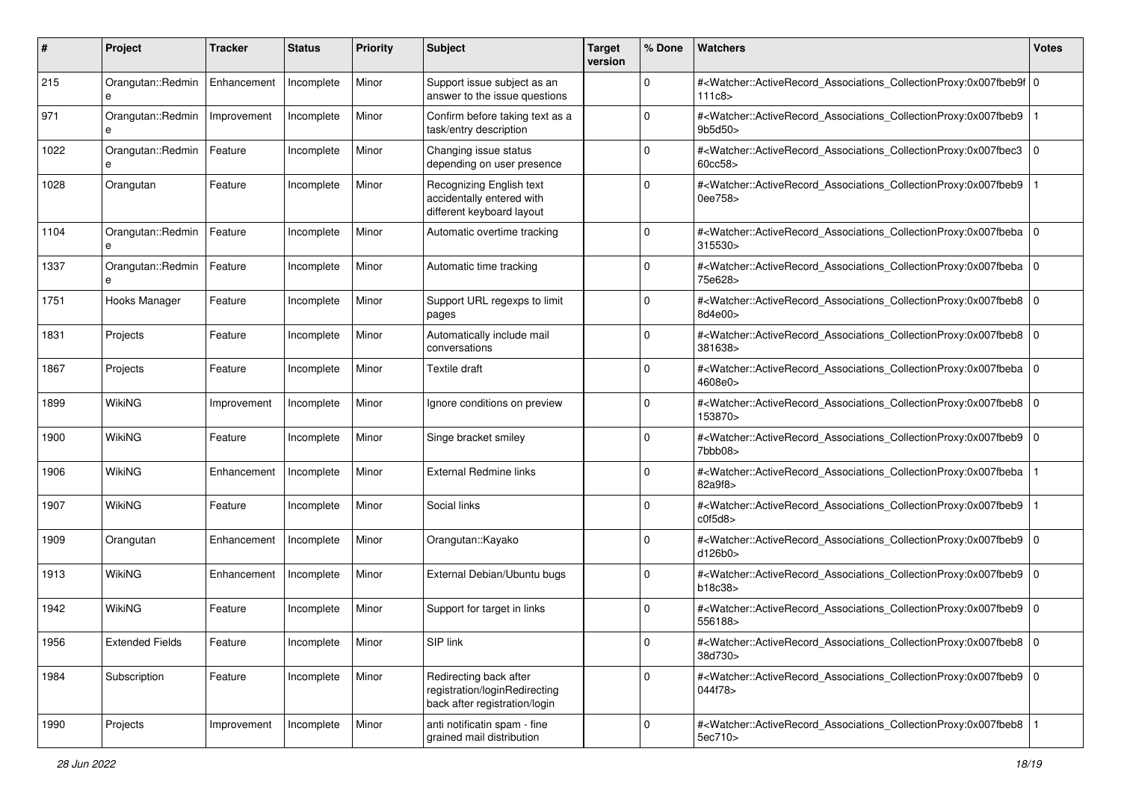| #    | Project                | <b>Tracker</b> | <b>Status</b> | <b>Priority</b> | <b>Subject</b>                                                                           | <b>Target</b><br>version | % Done      | Watchers                                                                                                                                                 | <b>Votes</b> |
|------|------------------------|----------------|---------------|-----------------|------------------------------------------------------------------------------------------|--------------------------|-------------|----------------------------------------------------------------------------------------------------------------------------------------------------------|--------------|
| 215  | Orangutan::Redmin<br>e | Enhancement    | Incomplete    | Minor           | Support issue subject as an<br>answer to the issue questions                             |                          | 0           | # <watcher::activerecord_associations_collectionproxy:0x007fbeb9f 0<br="">111c8</watcher::activerecord_associations_collectionproxy:0x007fbeb9f>         |              |
| 971  | Orangutan::Redmin      | Improvement    | Incomplete    | Minor           | Confirm before taking text as a<br>task/entry description                                |                          | $\Omega$    | # <watcher::activerecord_associations_collectionproxy:0x007fbeb9<br>9b5d50&gt;</watcher::activerecord_associations_collectionproxy:0x007fbeb9<br>        |              |
| 1022 | Orangutan::Redmin<br>e | Feature        | Incomplete    | Minor           | Changing issue status<br>depending on user presence                                      |                          | $\Omega$    | # <watcher::activerecord_associations_collectionproxy:0x007fbec3<br>60cc58</watcher::activerecord_associations_collectionproxy:0x007fbec3<br>            | 0            |
| 1028 | Orangutan              | Feature        | Incomplete    | Minor           | Recognizing English text<br>accidentally entered with<br>different keyboard layout       |                          | $\Omega$    | # <watcher::activerecord_associations_collectionproxy:0x007fbeb9<br>0ee758&gt;</watcher::activerecord_associations_collectionproxy:0x007fbeb9<br>        |              |
| 1104 | Orangutan::Redmin<br>e | Feature        | Incomplete    | Minor           | Automatic overtime tracking                                                              |                          | 0           | # <watcher::activerecord_associations_collectionproxy:0x007fbeba<br>315530&gt;</watcher::activerecord_associations_collectionproxy:0x007fbeba<br>        | l O          |
| 1337 | Orangutan::Redmin<br>e | Feature        | Incomplete    | Minor           | Automatic time tracking                                                                  |                          | $\Omega$    | # <watcher::activerecord_associations_collectionproxy:0x007fbeba 0<br=""  ="">75e628&gt;</watcher::activerecord_associations_collectionproxy:0x007fbeba> |              |
| 1751 | Hooks Manager          | Feature        | Incomplete    | Minor           | Support URL regexps to limit<br>pages                                                    |                          | $\Omega$    | # <watcher::activerecord_associations_collectionproxy:0x007fbeb8<br>8d4e00&gt;</watcher::activerecord_associations_collectionproxy:0x007fbeb8<br>        | 0            |
| 1831 | Projects               | Feature        | Incomplete    | Minor           | Automatically include mail<br>conversations                                              |                          | $\Omega$    | # <watcher::activerecord_associations_collectionproxy:0x007fbeb8<br>381638&gt;</watcher::activerecord_associations_collectionproxy:0x007fbeb8<br>        | l O          |
| 1867 | Projects               | Feature        | Incomplete    | Minor           | <b>Textile draft</b>                                                                     |                          | $\mathbf 0$ | # <watcher::activerecord_associations_collectionproxy:0x007fbeba<br>4608e0&gt;</watcher::activerecord_associations_collectionproxy:0x007fbeba<br>        | l O          |
| 1899 | WikiNG                 | Improvement    | Incomplete    | Minor           | Ignore conditions on preview                                                             |                          | $\Omega$    | # <watcher::activerecord_associations_collectionproxy:0x007fbeb8<br>153870&gt;</watcher::activerecord_associations_collectionproxy:0x007fbeb8<br>        | l O          |
| 1900 | <b>WikiNG</b>          | Feature        | Incomplete    | Minor           | Singe bracket smiley                                                                     |                          | 0           | # <watcher::activerecord_associations_collectionproxy:0x007fbeb9 0<br="">7bbb08&gt;</watcher::activerecord_associations_collectionproxy:0x007fbeb9>      |              |
| 1906 | WikiNG                 | Enhancement    | Incomplete    | Minor           | <b>External Redmine links</b>                                                            |                          | $\mathbf 0$ | # <watcher::activerecord_associations_collectionproxy:0x007fbeba<br>82a9f8&gt;</watcher::activerecord_associations_collectionproxy:0x007fbeba<br>        |              |
| 1907 | WikiNG                 | Feature        | Incomplete    | Minor           | Social links                                                                             |                          | $\Omega$    | # <watcher::activerecord_associations_collectionproxy:0x007fbeb9<br>c0f5d8</watcher::activerecord_associations_collectionproxy:0x007fbeb9<br>            |              |
| 1909 | Orangutan              | Enhancement    | Incomplete    | Minor           | Orangutan::Kayako                                                                        |                          | $\Omega$    | # <watcher::activerecord_associations_collectionproxy:0x007fbeb9 0<br="">d126b0</watcher::activerecord_associations_collectionproxy:0x007fbeb9>          |              |
| 1913 | <b>WikiNG</b>          | Enhancement    | Incomplete    | Minor           | External Debian/Ubuntu bugs                                                              |                          | $\mathbf 0$ | # <watcher::activerecord_associations_collectionproxy:0x007fbeb9 0<br="">b18c38</watcher::activerecord_associations_collectionproxy:0x007fbeb9>          |              |
| 1942 | WikiNG                 | Feature        | Incomplete    | Minor           | Support for target in links                                                              |                          | 0           | # <watcher::activerecord_associations_collectionproxy:0x007fbeb9<br>556188&gt;</watcher::activerecord_associations_collectionproxy:0x007fbeb9<br>        | l O          |
| 1956 | <b>Extended Fields</b> | Feature        | Incomplete    | Minor           | SIP link                                                                                 |                          | 0           | # <watcher::activerecord_associations_collectionproxy:0x007fbeb8 0<br="">38d730&gt;</watcher::activerecord_associations_collectionproxy:0x007fbeb8>      |              |
| 1984 | Subscription           | Feature        | Incomplete    | Minor           | Redirecting back after<br>registration/loginRedirecting<br>back after registration/login |                          | $\mathbf 0$ | # <watcher::activerecord 0<br="" associations="" collectionproxy:0x007fbeb9="">044f78&gt;</watcher::activerecord>                                        |              |
| 1990 | Projects               | Improvement    | Incomplete    | Minor           | anti notificatin spam - fine<br>grained mail distribution                                |                          | $\mathbf 0$ | # <watcher::activerecord associations="" collectionproxy:0x007fbeb8<br="">5ec710&gt;</watcher::activerecord>                                             |              |